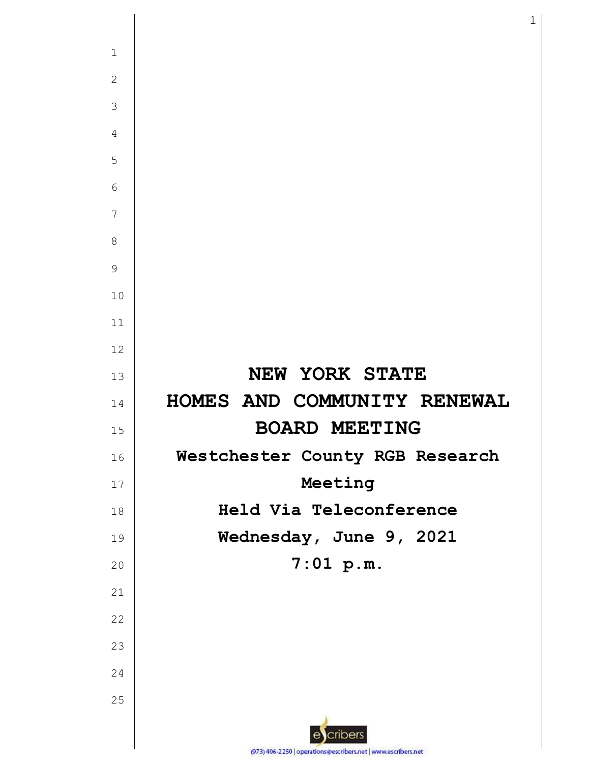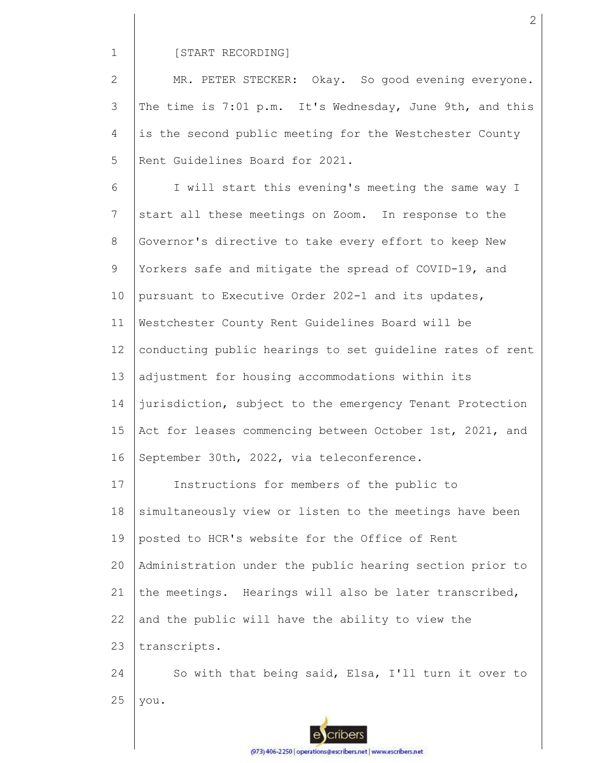#### [START RECORDING]

2 3 4 5 MR. PETER STECKER: Okay. So good evening everyone. The time is 7:01 p.m. It's Wednesday, June 9th, and this is the second public meeting for the Westchester County Rent Guidelines Board for 2021.

6 7 8 9 10 11 12 13 14 15 16 I will start this evening's meeting the same way I start all these meetings on Zoom. In response to the Governor's directive to take every effort to keep New Yorkers safe and mitigate the spread of COVID-19, and pursuant to Executive Order 202-1 and its updates, Westchester County Rent Guidelines Board will be conducting public hearings to set guideline rates of rent adjustment for housing accommodations within its jurisdiction, subject to the emergency Tenant Protection Act for leases commencing between October 1st, 2021, and September 30th, 2022, via teleconference.

17 18 19 20 21 22 23 Instructions for members of the public to simultaneously view or listen to the meetings have been posted to HCR's website for the Office of Rent Administration under the public hearing section prior to the meetings. Hearings will also be later transcribed, and the public will have the ability to view the transcripts.

24 25 So with that being said, Elsa, I'll turn it over to you.

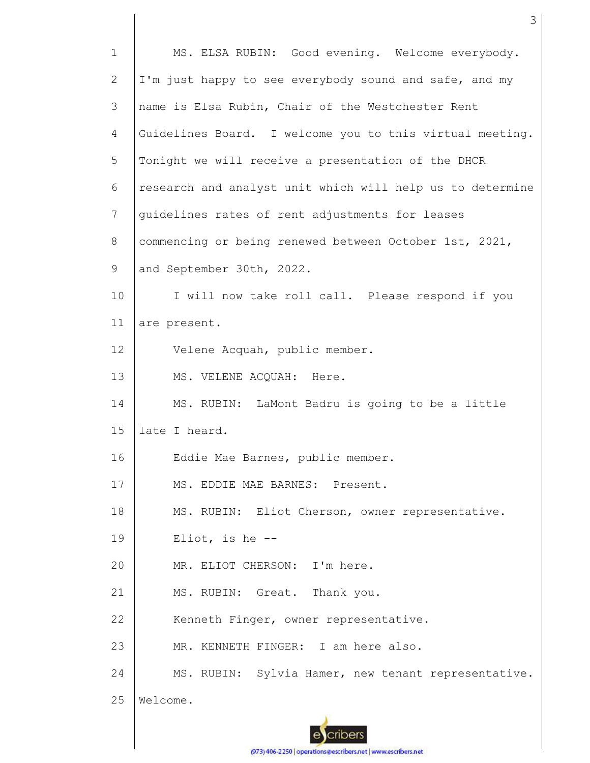| $\mathbf{1}$ | MS. ELSA RUBIN: Good evening. Welcome everybody.          |
|--------------|-----------------------------------------------------------|
| 2            | I'm just happy to see everybody sound and safe, and my    |
| 3            | name is Elsa Rubin, Chair of the Westchester Rent         |
| 4            | Guidelines Board. I welcome you to this virtual meeting.  |
| 5            | Tonight we will receive a presentation of the DHCR        |
| 6            | research and analyst unit which will help us to determine |
| 7            | quidelines rates of rent adjustments for leases           |
| 8            | commencing or being renewed between October 1st, 2021,    |
| 9            | and September 30th, 2022.                                 |
| 10           | I will now take roll call. Please respond if you          |
| 11           | are present.                                              |
| 12           | Velene Acquah, public member.                             |
| 13           | MS. VELENE ACQUAH: Here.                                  |
| 14           | MS. RUBIN: LaMont Badru is going to be a little           |
| 15           | late I heard.                                             |
| 16           | Eddie Mae Barnes, public member.                          |
| 17           | MS. EDDIE MAE BARNES: Present.                            |
| 18           | MS. RUBIN: Eliot Cherson, owner representative.           |
| 19           | Eliot, is he $-$ -                                        |
| 20           | MR. ELIOT CHERSON: I'm here.                              |
| 21           | MS. RUBIN: Great. Thank you.                              |
| 22           | Kenneth Finger, owner representative.                     |
| 23           | MR. KENNETH FINGER: I am here also.                       |
| 24           | MS. RUBIN: Sylvia Hamer, new tenant representative.       |
| 25           | Welcome.                                                  |
|              |                                                           |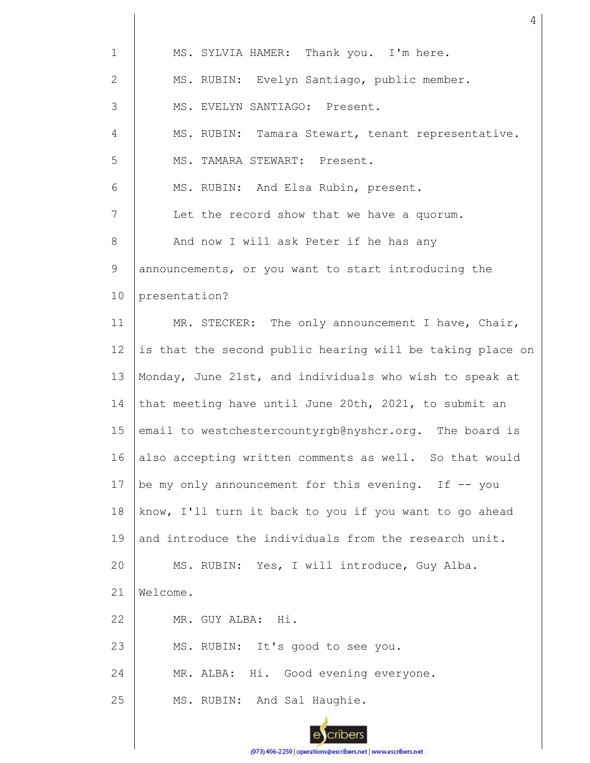| $\mathbf 1$    | MS. SYLVIA HAMER: Thank you. I'm here.                    |
|----------------|-----------------------------------------------------------|
| $\mathbf{2}$   | MS. RUBIN: Evelyn Santiago, public member.                |
| 3              | MS. EVELYN SANTIAGO: Present.                             |
| $\overline{4}$ | MS. RUBIN: Tamara Stewart, tenant representative.         |
| 5              | MS. TAMARA STEWART: Present.                              |
| 6              | MS. RUBIN: And Elsa Rubin, present.                       |
| 7              | Let the record show that we have a quorum.                |
| 8              | And now I will ask Peter if he has any                    |
| 9              | announcements, or you want to start introducing the       |
| 10             | presentation?                                             |
| 11             | MR. STECKER: The only announcement I have, Chair,         |
| 12             | is that the second public hearing will be taking place on |
| 13             | Monday, June 21st, and individuals who wish to speak at   |
| 14             | that meeting have until June 20th, 2021, to submit an     |
| 15             | email to westchestercountyrgb@nyshcr.org. The board is    |
| 16             | also accepting written comments as well. So that would    |
| 17             | be my only announcement for this evening. If -- you       |
| 18             | know, I'll turn it back to you if you want to go ahead    |
| 19             | and introduce the individuals from the research unit.     |
| 20             | MS. RUBIN: Yes, I will introduce, Guy Alba.               |
| 21             | Welcome.                                                  |
| 22             | MR. GUY ALBA:<br>Hi.                                      |
| 23             | MS. RUBIN: It's good to see you.                          |
| 24             | MR. ALBA: Hi. Good evening everyone.                      |
| 25             | MS. RUBIN: And Sal Haughie.                               |
|                | ribers                                                    |

(973) 406-2250 | operations@escribers.net | www.escribers.net

4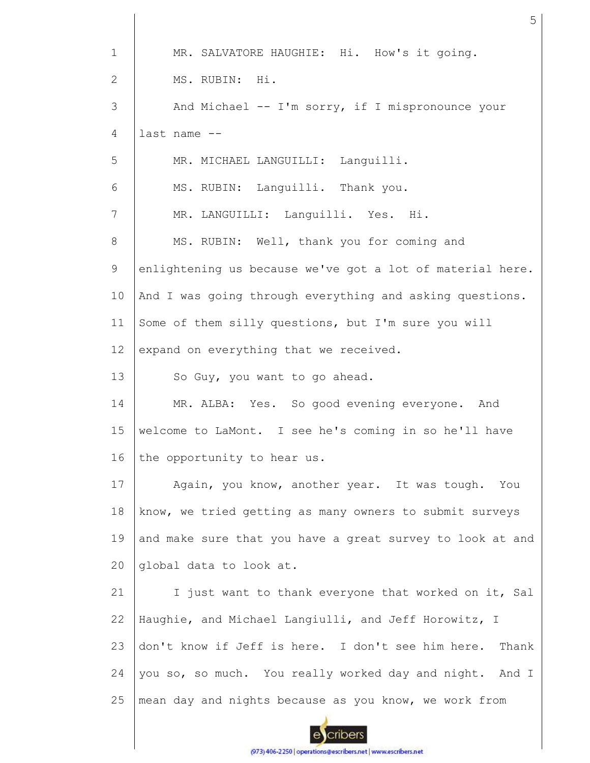| $\mathbf 1$  | MR. SALVATORE HAUGHIE: Hi. How's it going.                |
|--------------|-----------------------------------------------------------|
| $\mathbf{2}$ | MS. RUBIN: Hi.                                            |
| 3            | And Michael -- I'm sorry, if I mispronounce your          |
| 4            | last name --                                              |
| 5            | MR. MICHAEL LANGUILLI: Languilli.                         |
| 6            | MS. RUBIN: Languilli. Thank you.                          |
| 7            | MR. LANGUILLI: Languilli. Yes. Hi.                        |
| 8            | MS. RUBIN: Well, thank you for coming and                 |
| 9            | enlightening us because we've got a lot of material here. |
| 10           | And I was going through everything and asking questions.  |
| 11           | Some of them silly questions, but I'm sure you will       |
| 12           | expand on everything that we received.                    |
| 13           | So Guy, you want to go ahead.                             |
| 14           | MR. ALBA: Yes. So good evening everyone. And              |
| 15           | welcome to LaMont. I see he's coming in so he'll have     |
|              |                                                           |
| 16           | the opportunity to hear us.                               |
| 17           | Again, you know, another year. It was tough. You          |
| 18           | know, we tried getting as many owners to submit surveys   |
| 19           | and make sure that you have a great survey to look at and |
| 20           | global data to look at.                                   |
| 21           | I just want to thank everyone that worked on it, Sal      |
| 22           | Haughie, and Michael Langiulli, and Jeff Horowitz, I      |
| 23           | don't know if Jeff is here. I don't see him here. Thank   |
| 24           | you so, so much. You really worked day and night. And I   |
| 25           | mean day and nights because as you know, we work from     |

(973) 406-2250 | operations@escribers.net | www.escribers.net

I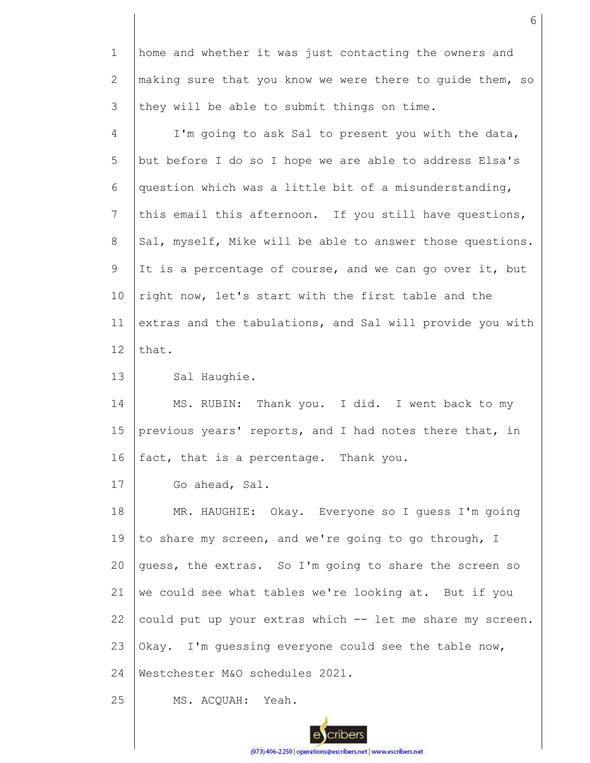1 2 3 home and whether it was just contacting the owners and making sure that you know we were there to guide them, so they will be able to submit things on time.

4 5 6 7 8 9 10 11 12 I'm going to ask Sal to present you with the data, but before I do so I hope we are able to address Elsa's question which was a little bit of a misunderstanding, this email this afternoon. If you still have questions, Sal, myself, Mike will be able to answer those questions. It is a percentage of course, and we can go over it, but right now, let's start with the first table and the extras and the tabulations, and Sal will provide you with that.

13 Sal Haughie.

14 15 16 MS. RUBIN: Thank you. I did. I went back to my previous years' reports, and I had notes there that, in fact, that is a percentage. Thank you.

17 Go ahead, Sal.

18 19 20 21 22 23 24 MR. HAUGHIE: Okay. Everyone so I guess I'm going to share my screen, and we're going to go through, I guess, the extras. So I'm going to share the screen so we could see what tables we're looking at. But if you could put up your extras which -- let me share my screen. Okay. I'm guessing everyone could see the table now, Westchester M&O schedules 2021.

25 MS. ACQUAH: Yeah.

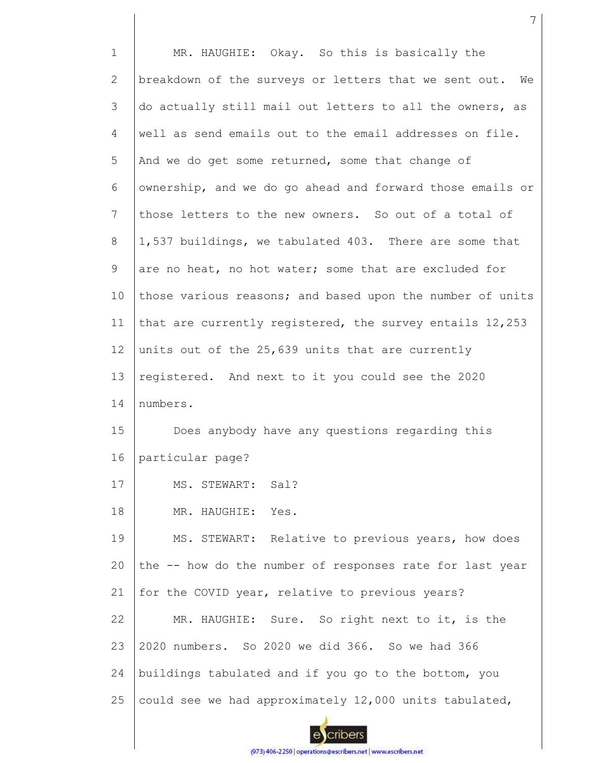1 2 3 4 5 6 7 8 9 10 11 12 13 14 15 16 17 18 19  $20$ 21 22 23 24 25 MR. HAUGHIE: Okay. So this is basically the breakdown of the surveys or letters that we sent out. We do actually still mail out letters to all the owners, as well as send emails out to the email addresses on file. And we do get some returned, some that change of ownership, and we do go ahead and forward those emails or those letters to the new owners. So out of a total of 1,537 buildings, we tabulated 403. There are some that are no heat, no hot water; some that are excluded for those various reasons; and based upon the number of units that are currently registered, the survey entails 12,253 units out of the 25,639 units that are currently registered. And next to it you could see the 2020 numbers. Does anybody have any questions regarding this particular page? MS. STEWART: Sal? MR. HAUGHIE: Yes. MS. STEWART: Relative to previous years, how does the -- how do the number of responses rate for last year for the COVID year, relative to previous years? MR. HAUGHIE: Sure. So right next to it, is the 2020 numbers. So 2020 we did 366. So we had 366 buildings tabulated and if you go to the bottom, you could see we had approximately 12,000 units tabulated,

7

(973) 406-2250 | operations@escribers.net | www.escribers.net

cribers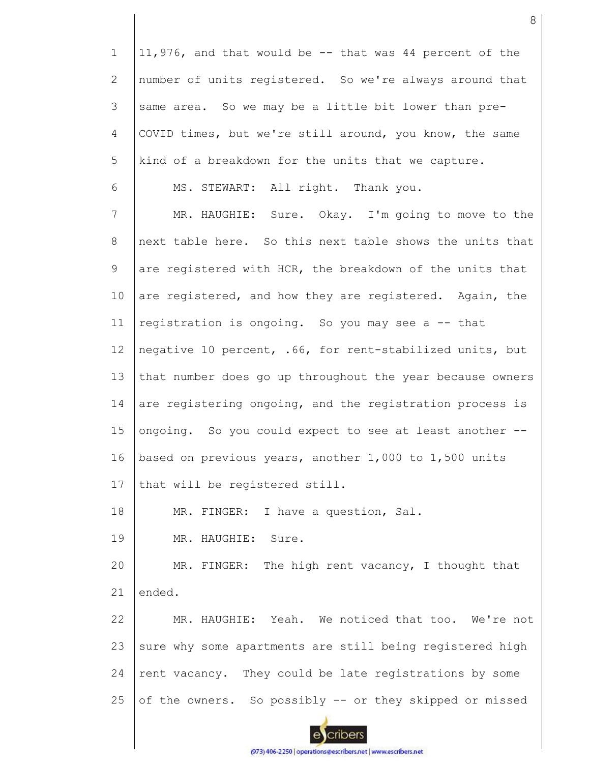1 11,976, and that would be -- that was 44 percent of the 2 number of units registered. So we're always around that 3 same area. So we may be a little bit lower than pre-4 COVID times, but we're still around, you know, the same 5 kind of a breakdown for the units that we capture. 6 MS. STEWART: All right. Thank you. 7 MR. HAUGHIE: Sure. Okay. I'm going to move to the 8 next table here. So this next table shows the units that 9 are registered with HCR, the breakdown of the units that 10 are registered, and how they are registered. Again, the registration is ongoing. So you may see a -- that 11 12 negative 10 percent, .66, for rent-stabilized units, but 13 that number does go up throughout the year because owners 14 are registering ongoing, and the registration process is 15 ongoing. So you could expect to see at least another -- 16 based on previous years, another 1,000 to 1,500 units 17 that will be registered still. 18 MR. FINGER: I have a question, Sal. 19 MR. HAUGHIE: Sure. MR. FINGER: The high rent vacancy, I thought that 20 21 ended. 22 MR. HAUGHIE: Yeah. We noticed that too. We're not 23 sure why some apartments are still being registered high 24 rent vacancy. They could be late registrations by some 25 of the owners. So possibly -- or they skipped or missed cribers

8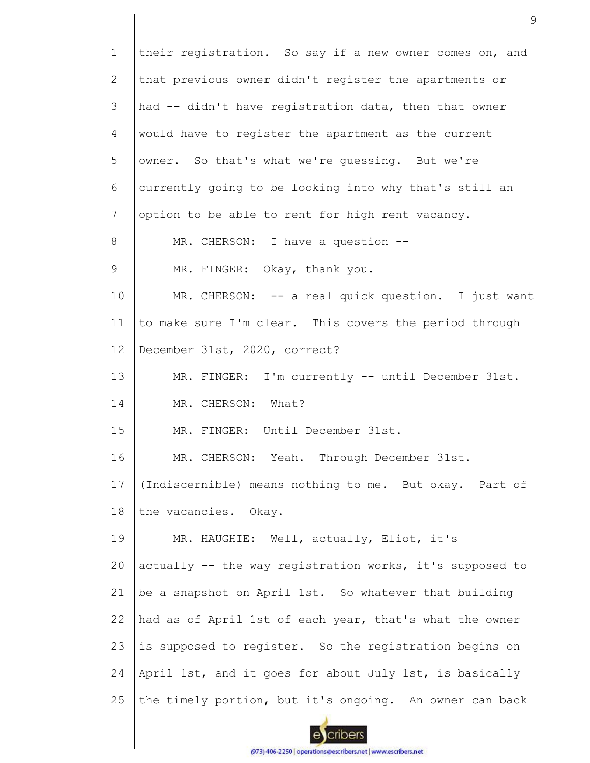1 2 3 4 5 6 7 8 9 10 11 12 13 14 15 16 17 18 19 20 21 22 23 24 25 their registration. So say if a new owner comes on, and that previous owner didn't register the apartments or had -- didn't have registration data, then that owner would have to register the apartment as the current owner. So that's what we're guessing. But we're currently going to be looking into why that's still an option to be able to rent for high rent vacancy. MR. CHERSON: I have a question --MR. FINGER: Okay, thank you. MR. CHERSON: -- a real quick question. I just want to make sure I'm clear. This covers the period through December 31st, 2020, correct? MR. FINGER: I'm currently -- until December 31st. MR. CHERSON: What? MR. FINGER: Until December 31st. MR. CHERSON: Yeah. Through December 31st. (Indiscernible) means nothing to me. But okay. Part of the vacancies. Okay. MR. HAUGHIE: Well, actually, Eliot, it's actually -- the way registration works, it's supposed to be a snapshot on April 1st. So whatever that building had as of April 1st of each year, that's what the owner is supposed to register. So the registration begins on April 1st, and it goes for about July 1st, is basically the timely portion, but it's ongoing. An owner can back

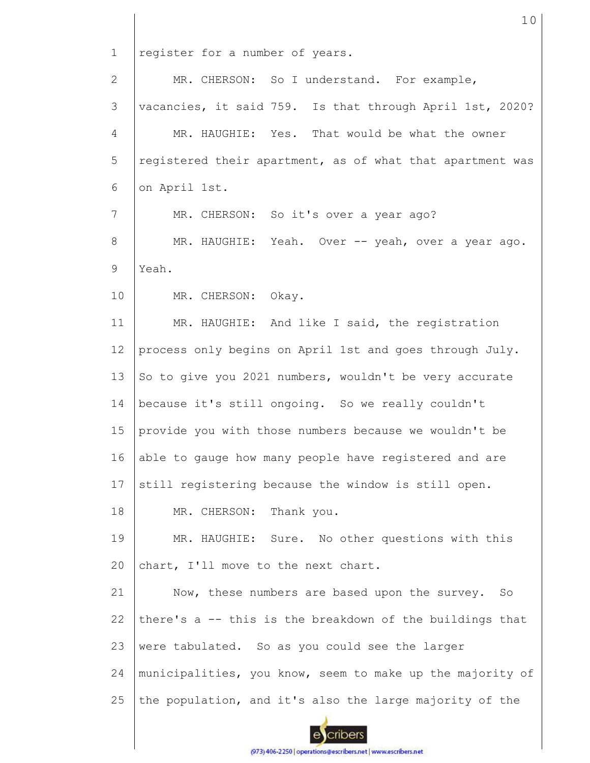1 register for a number of years. MR. CHERSON: So I understand. For example, 2 3 vacancies, it said 759. Is that through April 1st, 2020? MR. HAUGHIE: Yes. That would be what the owner 4 5 registered their apartment, as of what that apartment was 6 on April 1st. 7 MR. CHERSON: So it's over a year ago? 8 MR. HAUGHIE: Yeah. Over -- yeah, over a year ago. 9 Yeah. 10 MR. CHERSON: Okay. 11 MR. HAUGHIE: And like I said, the registration 12 process only begins on April 1st and goes through July. 13 So to give you 2021 numbers, wouldn't be very accurate 14 because it's still ongoing. So we really couldn't 15 provide you with those numbers because we wouldn't be 16 able to gauge how many people have registered and are 17 still registering because the window is still open. 18 MR. CHERSON: Thank you. 19 MR. HAUGHIE: Sure. No other questions with this chart, I'll move to the next chart.  $20$ 21 Now, these numbers are based upon the survey. So there's a -- this is the breakdown of the buildings that 22 23 were tabulated. So as you could see the larger 24 municipalities, you know, seem to make up the majority of 25 the population, and it's also the large majority of the cribers

10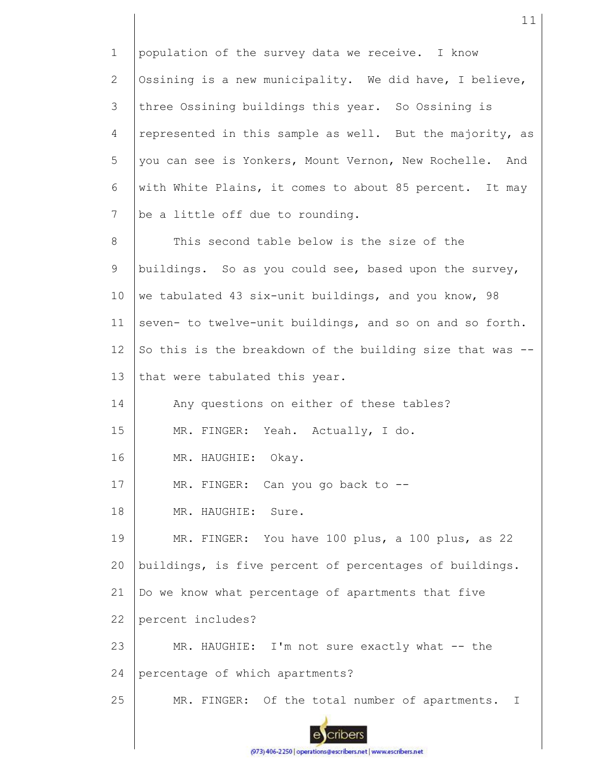1 population of the survey data we receive. I know Ossining is a new municipality. We did have, I believe, 2 3 three Ossining buildings this year. So Ossining is 4 represented in this sample as well. But the majority, as 5 you can see is Yonkers, Mount Vernon, New Rochelle. And with White Plains, it comes to about 85 percent. It may 6 7 be a little off due to rounding. This second table below is the size of the 8 9 buildings. So as you could see, based upon the survey, 10 we tabulated 43 six-unit buildings, and you know, 98 seven- to twelve-unit buildings, and so on and so forth. 11 12 So this is the breakdown of the building size that was -- 13 that were tabulated this year. 14 Any questions on either of these tables? 15 MR. FINGER: Yeah. Actually, I do. 16 MR. HAUGHIE: Okay. 17 MR. FINGER: Can you go back to -- 18 MR. HAUGHIE: Sure. 19 MR. FINGER: You have 100 plus, a 100 plus, as 22 buildings, is five percent of percentages of buildings. 20 21 Do we know what percentage of apartments that five 22 percent includes? 23 MR. HAUGHIE: I'm not sure exactly what -- the 24 percentage of which apartments? 25 MR. FINGER: Of the total number of apartments. I cribers

11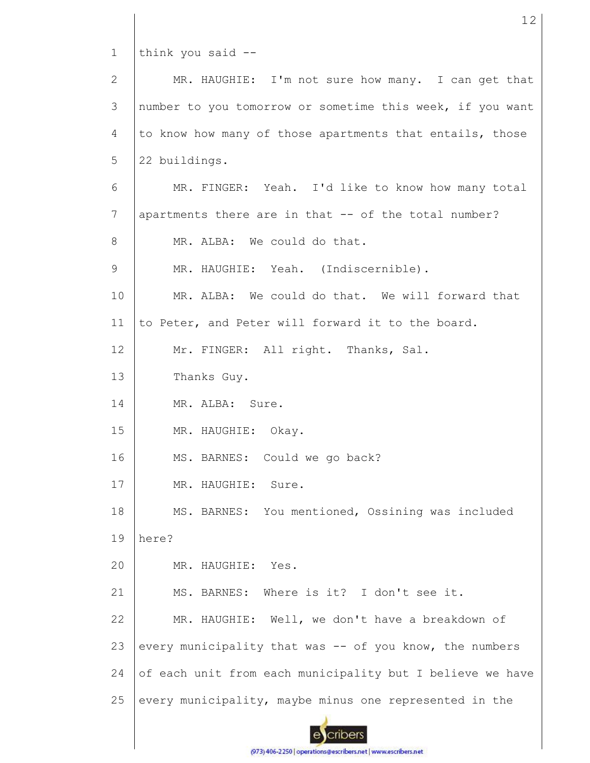1 think you said --

MR. HAUGHIE: I'm not sure how many. I can get that 2 3 number to you tomorrow or sometime this week, if you want to know how many of those apartments that entails, those 4 5 22 buildings. 6 MR. FINGER: Yeah. I'd like to know how many total 7 apartments there are in that -- of the total number? MR. ALBA: We could do that. 8 9 MR. HAUGHIE: Yeah. (Indiscernible). 10 MR. ALBA: We could do that. We will forward that 11 to Peter, and Peter will forward it to the board. 12 Mr. FINGER: All right. Thanks, Sal. 13 Thanks Guy. 14 MR. ALBA: Sure. 15 MR. HAUGHIE: Okay. 16 MS. BARNES: Could we go back? 17 MR. HAUGHIE: Sure. 18 MS. BARNES: You mentioned, Ossining was included 19 here? 20 MR. HAUGHIE: Yes. 21 MS. BARNES: Where is it? I don't see it. MR. HAUGHIE: Well, we don't have a breakdown of 22 23 every municipality that was -- of you know, the numbers 24 of each unit from each municipality but I believe we have 25 every municipality, maybe minus one represented in the cribers

12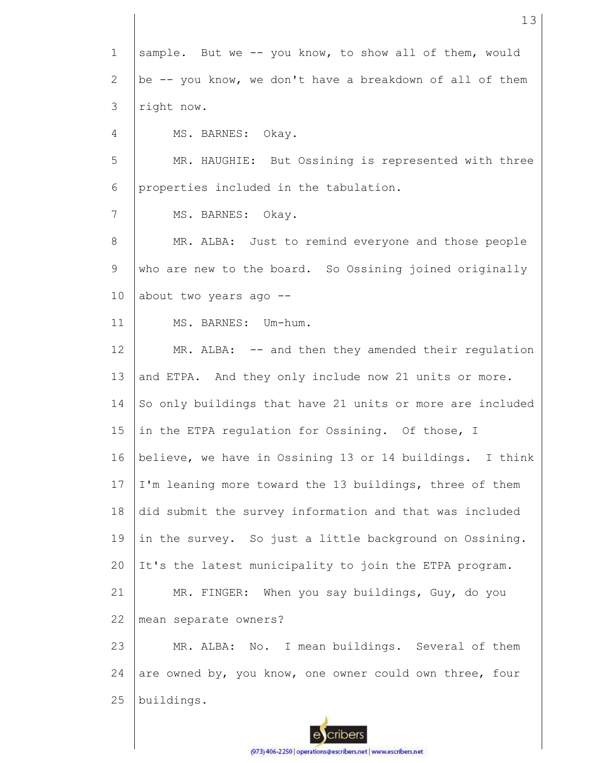1 2 3 4 5 6 7 8 9 10 11 12 13 14 15 16 17 18 19 20 21 22 23 24 25 sample. But we -- you know, to show all of them, would be -- you know, we don't have a breakdown of all of them right now. MS. BARNES: Okay. MR. HAUGHIE: But Ossining is represented with three properties included in the tabulation. MS. BARNES: Okay. MR. ALBA: Just to remind everyone and those people who are new to the board. So Ossining joined originally about two years ago -- MS. BARNES: Um-hum. MR. ALBA: -- and then they amended their regulation and ETPA. And they only include now 21 units or more. So only buildings that have 21 units or more are included in the ETPA regulation for Ossining. Of those, I believe, we have in Ossining 13 or 14 buildings. I think I'm leaning more toward the 13 buildings, three of them did submit the survey information and that was included in the survey. So just a little background on Ossining. It's the latest municipality to join the ETPA program. MR. FINGER: When you say buildings, Guy, do you mean separate owners? MR. ALBA: No. I mean buildings. Several of them are owned by, you know, one owner could own three, four buildings.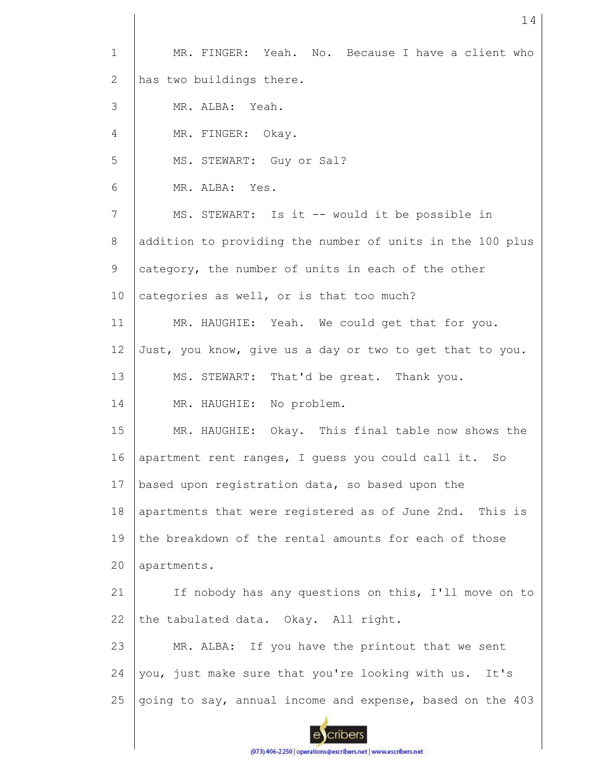| $\mathbf 1$           | MR. FINGER: Yeah. No. Because I have a client who         |
|-----------------------|-----------------------------------------------------------|
| $\mathbf{2}^{\prime}$ | has two buildings there.                                  |
| 3                     | MR. ALBA: Yeah.                                           |
| 4                     | MR. FINGER: Okay.                                         |
| 5                     | MS. STEWART: Guy or Sal?                                  |
| 6                     | MR. ALBA: Yes.                                            |
| 7                     | MS. STEWART: Is it -- would it be possible in             |
| 8                     | addition to providing the number of units in the 100 plus |
| 9                     | category, the number of units in each of the other        |
| 10                    | categories as well, or is that too much?                  |
| 11                    | MR. HAUGHIE: Yeah. We could get that for you.             |
| 12                    | Just, you know, give us a day or two to get that to you.  |
| 13                    | MS. STEWART: That'd be great. Thank you.                  |
| 14                    | MR. HAUGHIE: No problem.                                  |
| 15                    | MR. HAUGHIE: Okay. This final table now shows the         |
| 16                    | apartment rent ranges, I guess you could call it. So      |
| 17                    | based upon registration data, so based upon the           |
| 18                    | apartments that were registered as of June 2nd. This is   |
| 19                    | the breakdown of the rental amounts for each of those     |
| 20                    | apartments.                                               |
| 21                    | If nobody has any questions on this, I'll move on to      |
| 22                    | the tabulated data. Okay. All right.                      |
| 23                    | MR. ALBA: If you have the printout that we sent           |
| 24                    | you, just make sure that you're looking with us. It's     |
| 25                    | going to say, annual income and expense, based on the 403 |
|                       |                                                           |
|                       |                                                           |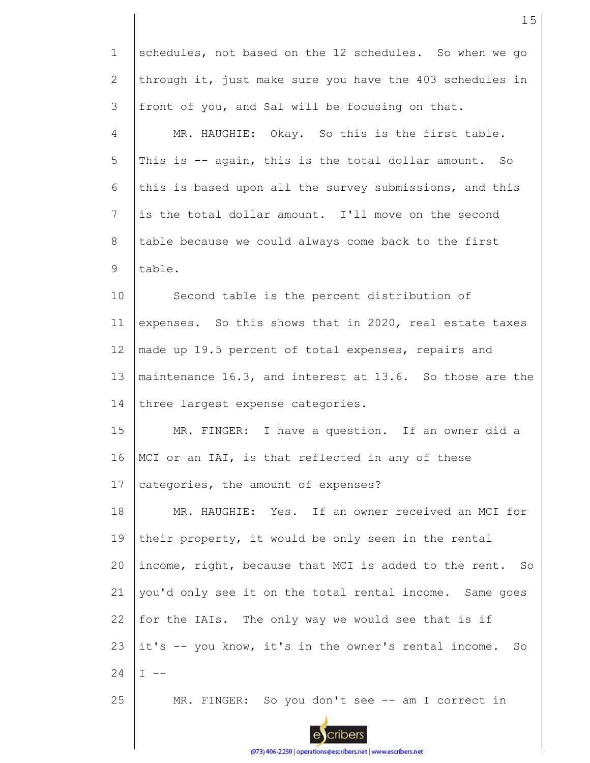| $\mathbf{1}$    | schedules, not based on the 12 schedules. So when we go    |
|-----------------|------------------------------------------------------------|
| $\mathbf{2}$    | through it, just make sure you have the 403 schedules in   |
| 3               | front of you, and Sal will be focusing on that.            |
| 4               | MR. HAUGHIE: Okay. So this is the first table.             |
| 5               | This is -- again, this is the total dollar amount. So      |
| 6               | this is based upon all the survey submissions, and this    |
| $7\phantom{.0}$ | is the total dollar amount. I'll move on the second        |
| 8               | table because we could always come back to the first       |
| 9               | table.                                                     |
| 10              | Second table is the percent distribution of                |
| 11              | expenses. So this shows that in 2020, real estate taxes    |
| 12              | made up 19.5 percent of total expenses, repairs and        |
| 13              | maintenance 16.3, and interest at 13.6. So those are the   |
| 14              | three largest expense categories.                          |
| 15              | MR. FINGER: I have a question. If an owner did a           |
| 16              | MCI or an IAI, is that reflected in any of these           |
| 17              | categories, the amount of expenses?                        |
| 18              | MR. HAUGHIE: Yes. If an owner received an MCI for          |
| 19              | their property, it would be only seen in the rental        |
| 20              | income, right, because that MCI is added to the rent. So   |
| 21              | you'd only see it on the total rental income. Same goes    |
| 22              | for the IAIs. The only way we would see that is if         |
| 23              | it's -- you know, it's in the owner's rental income.<br>So |
| 24              | I.                                                         |
| 25              | MR. FINGER: So you don't see -- am I correct in            |

escribers (973) 406-2250 | operations@escribers.net | www.escribers.net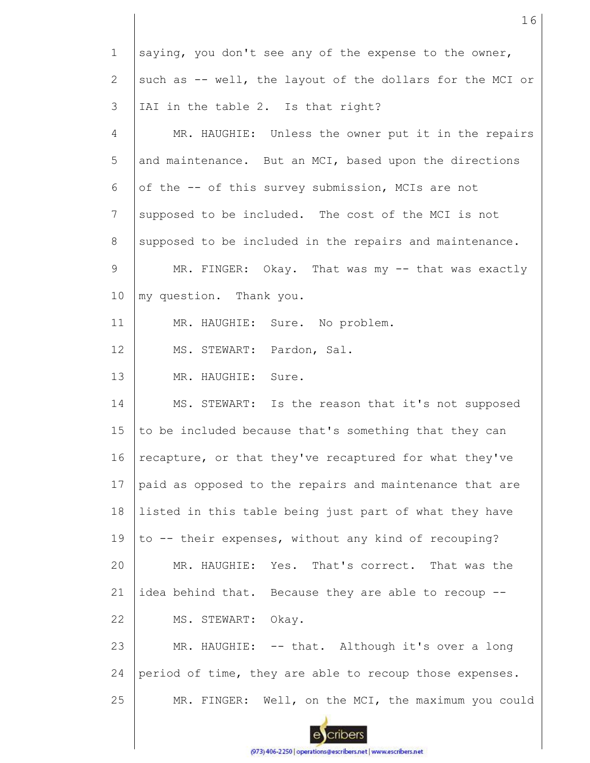| $\mathbf 1$    | saying, you don't see any of the expense to the owner,    |
|----------------|-----------------------------------------------------------|
| $\overline{2}$ | such as -- well, the layout of the dollars for the MCI or |
| 3              | IAI in the table 2. Is that right?                        |
| 4              | MR. HAUGHIE: Unless the owner put it in the repairs       |
| 5              | and maintenance. But an MCI, based upon the directions    |
| 6              | of the -- of this survey submission, MCIs are not         |
| 7              | supposed to be included. The cost of the MCI is not       |
| 8              | supposed to be included in the repairs and maintenance.   |
| 9              | MR. FINGER: Okay. That was my -- that was exactly         |
| 10             | my question. Thank you.                                   |
| 11             | MR. HAUGHIE: Sure. No problem.                            |
| 12             | MS. STEWART: Pardon, Sal.                                 |
| 13             | MR. HAUGHIE:<br>Sure.                                     |
| 14             | MS. STEWART: Is the reason that it's not supposed         |
| 15             | to be included because that's something that they can     |
| 16             | recapture, or that they've recaptured for what they've    |
| 17             | paid as opposed to the repairs and maintenance that are   |
| 18             | listed in this table being just part of what they have    |
| 19             | to -- their expenses, without any kind of recouping?      |
| 20             | MR. HAUGHIE: Yes. That's correct. That was the            |
| 21             | idea behind that. Because they are able to recoup --      |
| 22             | MS. STEWART: Okay.                                        |
| 23             | MR. HAUGHIE: -- that. Although it's over a long           |
| 24             | period of time, they are able to recoup those expenses.   |
| 25             | MR. FINGER: Well, on the MCI, the maximum you could       |
|                |                                                           |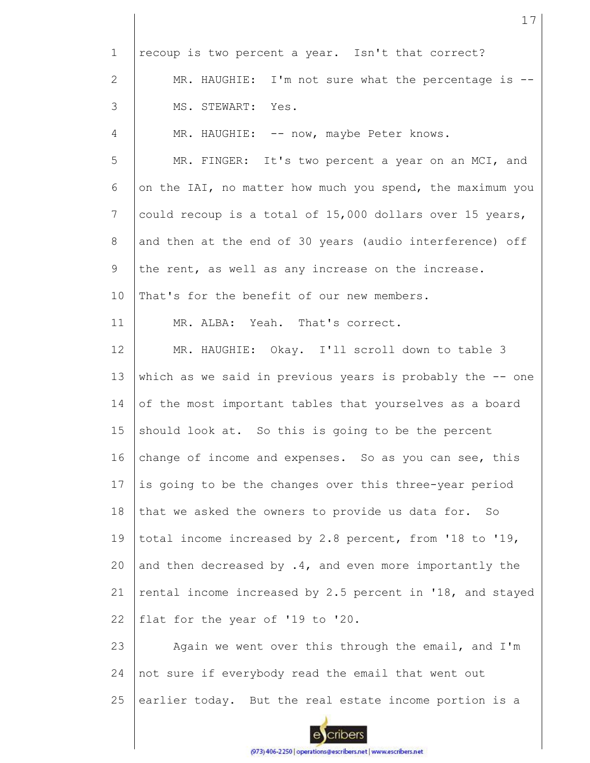| $\mathbf 1$  | recoup is two percent a year. Isn't that correct?          |
|--------------|------------------------------------------------------------|
| $\mathbf{2}$ | MR. HAUGHIE: I'm not sure what the percentage is --        |
| 3            | MS. STEWART: Yes.                                          |
| 4            | MR. HAUGHIE: -- now, maybe Peter knows.                    |
| 5            | MR. FINGER: It's two percent a year on an MCI, and         |
| 6            | on the IAI, no matter how much you spend, the maximum you  |
| 7            | could recoup is a total of 15,000 dollars over 15 years,   |
| 8            | and then at the end of 30 years (audio interference) off   |
| 9            | the rent, as well as any increase on the increase.         |
| 10           | That's for the benefit of our new members.                 |
| 11           | MR. ALBA: Yeah. That's correct.                            |
| 12           | MR. HAUGHIE: Okay. I'll scroll down to table 3             |
| 13           | which as we said in previous years is probably the $-$ one |
| 14           | of the most important tables that yourselves as a board    |
| 15           | should look at. So this is going to be the percent         |
| 16           | change of income and expenses. So as you can see, this     |
| 17           | is going to be the changes over this three-year period     |
| 18           | that we asked the owners to provide us data for. So        |
| 19           | total income increased by 2.8 percent, from '18 to '19,    |
| 20           | and then decreased by .4, and even more importantly the    |
| 21           | rental income increased by 2.5 percent in '18, and stayed  |
| 22           | flat for the year of '19 to '20.                           |
| 23           | Again we went over this through the email, and I'm         |
| 24           | not sure if everybody read the email that went out         |
| 25           | earlier today. But the real estate income portion is a     |
|              |                                                            |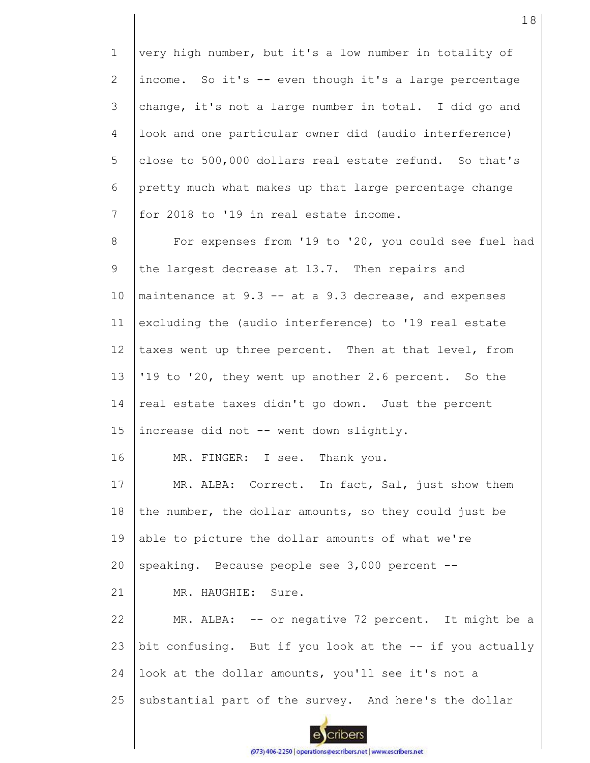| $\mathbf{1}$    | very high number, but it's a low number in totality of    |
|-----------------|-----------------------------------------------------------|
| $\mathbf{2}$    | income. So it's -- even though it's a large percentage    |
| 3               | change, it's not a large number in total. I did go and    |
| 4               | look and one particular owner did (audio interference)    |
| 5               | close to 500,000 dollars real estate refund. So that's    |
| 6               | pretty much what makes up that large percentage change    |
| $7\phantom{.0}$ | for 2018 to '19 in real estate income.                    |
| 8               | For expenses from '19 to '20, you could see fuel had      |
| 9               | the largest decrease at 13.7. Then repairs and            |
| 10              | maintenance at $9.3$ -- at a $9.3$ decrease, and expenses |
| 11              | excluding the (audio interference) to '19 real estate     |
| 12              | taxes went up three percent. Then at that level, from     |
| 13              | '19 to '20, they went up another 2.6 percent. So the      |
| 14              | real estate taxes didn't go down. Just the percent        |
| 15              | increase did not -- went down slightly.                   |
| 16              | MR. FINGER: I see. Thank you.                             |
| 17              | MR. ALBA: Correct. In fact, Sal, just show them           |
| 18              | the number, the dollar amounts, so they could just be     |
| 19              | able to picture the dollar amounts of what we're          |
| 20              | speaking. Because people see 3,000 percent --             |
| 21              | MR. HAUGHIE: Sure.                                        |
| 22              | MR. ALBA: -- or negative 72 percent. It might be a        |
| 23              | bit confusing. But if you look at the -- if you actually  |
| 24              | look at the dollar amounts, you'll see it's not a         |
| 25              | substantial part of the survey. And here's the dollar     |
|                 |                                                           |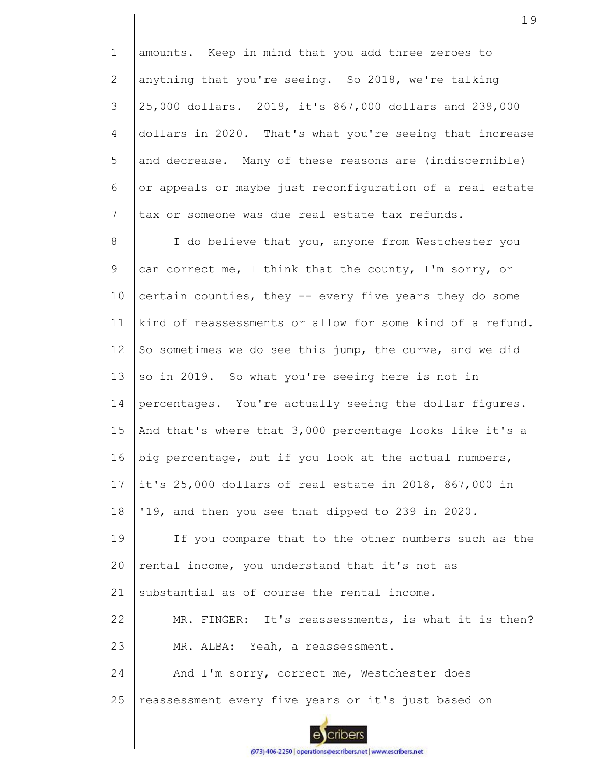1 2 3 4 5 6 7 8 9 10 11 12 13 14 15 16 17 18 19 20 21 22 23 24 25 amounts. Keep in mind that you add three zeroes to anything that you're seeing. So 2018, we're talking 25,000 dollars. 2019, it's 867,000 dollars and 239,000 dollars in 2020. That's what you're seeing that increase and decrease. Many of these reasons are (indiscernible) or appeals or maybe just reconfiguration of a real estate tax or someone was due real estate tax refunds. I do believe that you, anyone from Westchester you can correct me, I think that the county, I'm sorry, or certain counties, they -- every five years they do some kind of reassessments or allow for some kind of a refund. So sometimes we do see this jump, the curve, and we did so in 2019. So what you're seeing here is not in percentages. You're actually seeing the dollar figures. And that's where that 3,000 percentage looks like it's a big percentage, but if you look at the actual numbers, it's 25,000 dollars of real estate in 2018, 867,000 in '19, and then you see that dipped to 239 in 2020. If you compare that to the other numbers such as the rental income, you understand that it's not as substantial as of course the rental income. MR. FINGER: It's reassessments, is what it is then? MR. ALBA: Yeah, a reassessment. And I'm sorry, correct me, Westchester does reassessment every five years or it's just based on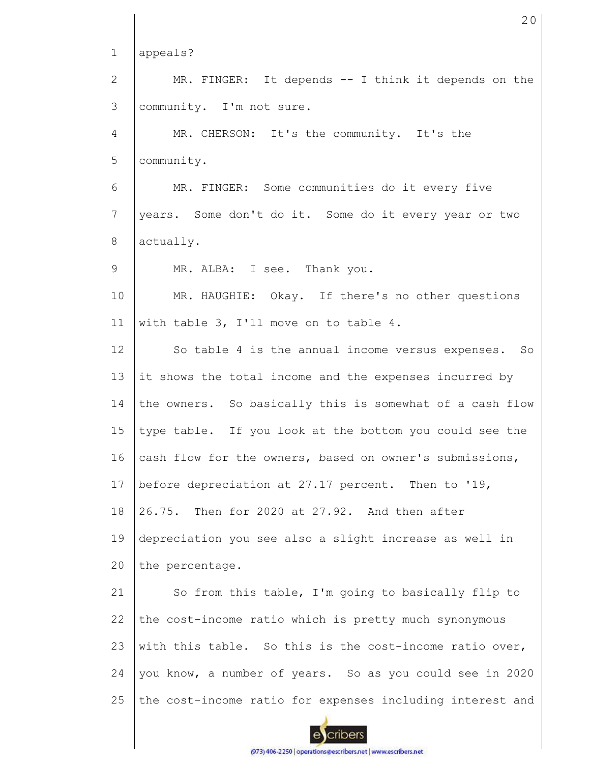1 appeals? MR. FINGER: It depends -- I think it depends on the 2 3 community. I'm not sure. 4 MR. CHERSON: It's the community. It's the 5 community. MR. FINGER: Some communities do it every five 6 7 years. Some don't do it. Some do it every year or two 8 actually. 9 MR. ALBA: I see. Thank you. 10 MR. HAUGHIE: Okay. If there's no other questions 11 with table 3, I'll move on to table 4. 12 So table 4 is the annual income versus expenses. So 13 it shows the total income and the expenses incurred by 14 the owners. So basically this is somewhat of a cash flow 15 type table. If you look at the bottom you could see the cash flow for the owners, based on owner's submissions, 16 17 before depreciation at 27.17 percent. Then to '19, 18 26.75. Then for 2020 at 27.92. And then after 19 depreciation you see also a slight increase as well in  $20$ the percentage. 21 So from this table, I'm going to basically flip to the cost-income ratio which is pretty much synonymous 22 23 with this table. So this is the cost-income ratio over, 24 you know, a number of years. So as you could see in 2020 25 the cost-income ratio for expenses including interest and cribers

20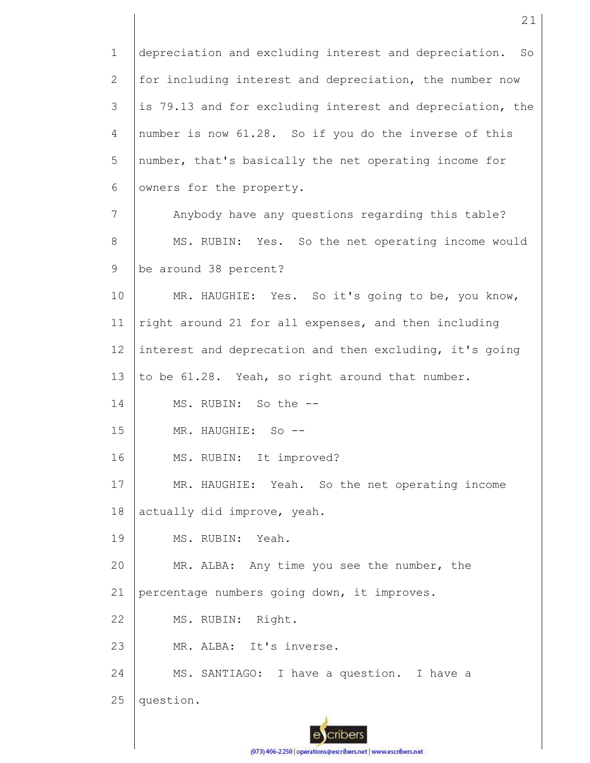1 2 3 4 5 6 7 8 9 10 11 12 13 14 15 16 17 18 19 20 21 22 23 24 25 depreciation and excluding interest and depreciation. So for including interest and depreciation, the number now is 79.13 and for excluding interest and depreciation, the number is now 61.28. So if you do the inverse of this number, that's basically the net operating income for owners for the property. Anybody have any questions regarding this table? MS. RUBIN: Yes. So the net operating income would be around 38 percent? MR. HAUGHIE: Yes. So it's going to be, you know, right around 21 for all expenses, and then including interest and deprecation and then excluding, it's going to be 61.28. Yeah, so right around that number. MS. RUBIN: So the -- MR. HAUGHIE: So -- MS. RUBIN: It improved? MR. HAUGHIE: Yeah. So the net operating income actually did improve, yeah. MS. RUBIN: Yeah. MR. ALBA: Any time you see the number, the percentage numbers going down, it improves. MS. RUBIN: Right. MR. ALBA: It's inverse. MS. SANTIAGO: I have a question. I have a question.

21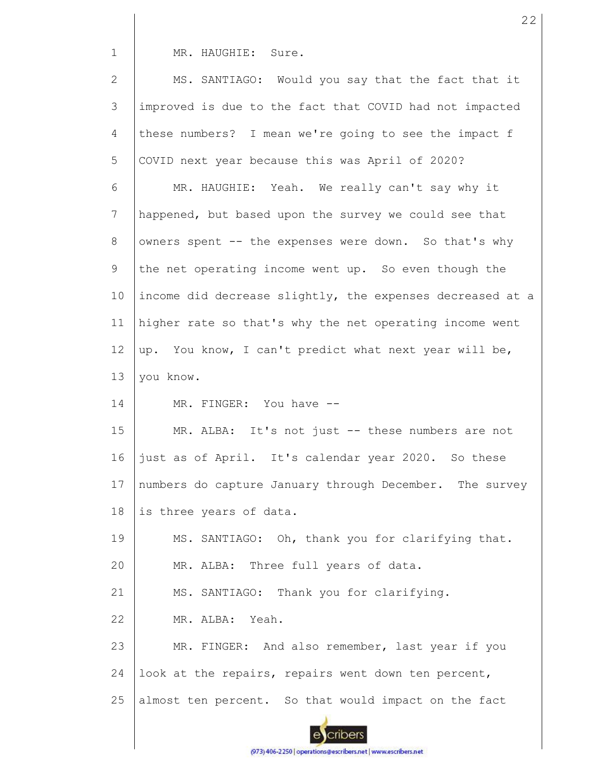MR. HAUGHIE: Sure.

1

2 3 4 5 6 7 8 9 10 11 12 13 14 15 16 17 18 19 20 21 22 23 24 25 MS. SANTIAGO: Would you say that the fact that it improved is due to the fact that COVID had not impacted these numbers? I mean we're going to see the impact f COVID next year because this was April of 2020? MR. HAUGHIE: Yeah. We really can't say why it happened, but based upon the survey we could see that owners spent -- the expenses were down. So that's why the net operating income went up. So even though the income did decrease slightly, the expenses decreased at a higher rate so that's why the net operating income went up. You know, I can't predict what next year will be, you know. MR. FINGER: You have -- MR. ALBA: It's not just -- these numbers are not just as of April. It's calendar year 2020. So these numbers do capture January through December. The survey is three years of data. MS. SANTIAGO: Oh, thank you for clarifying that. MR. ALBA: Three full years of data. MS. SANTIAGO: Thank you for clarifying. MR. ALBA: Yeah. MR. FINGER: And also remember, last year if you look at the repairs, repairs went down ten percent, almost ten percent. So that would impact on the fact

cribers

(973) 406-2250 | operations@escribers.net | www.escribers.net

22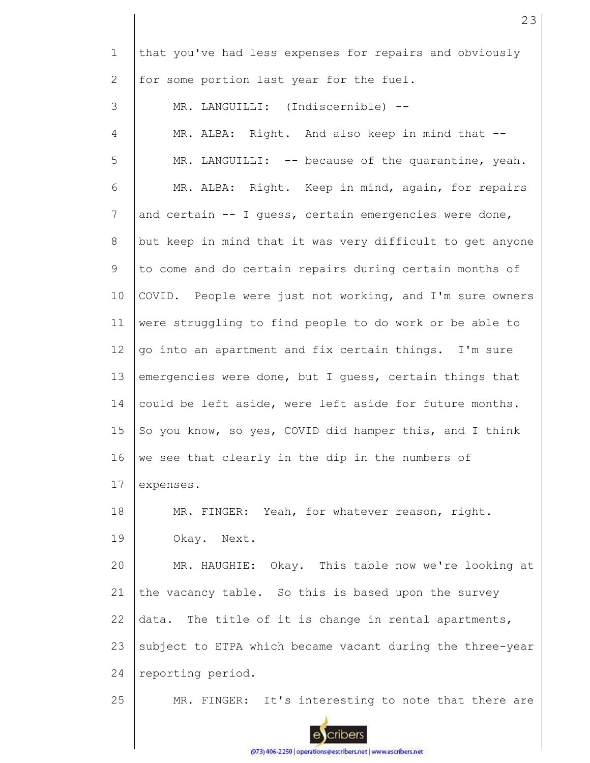| $\mathbf 1$           | that you've had less expenses for repairs and obviously   |
|-----------------------|-----------------------------------------------------------|
| $\mathbf{2}^{\prime}$ | for some portion last year for the fuel.                  |
| 3                     | MR. LANGUILLI: (Indiscernible) --                         |
| $\overline{4}$        | MR. ALBA: Right. And also keep in mind that --            |
| 5                     | MR. LANGUILLI: -- because of the quarantine, yeah.        |
| 6                     | MR. ALBA: Right. Keep in mind, again, for repairs         |
| 7                     | and certain -- I guess, certain emergencies were done,    |
| 8                     | but keep in mind that it was very difficult to get anyone |
| 9                     | to come and do certain repairs during certain months of   |
| 10                    | COVID. People were just not working, and I'm sure owners  |
| 11                    | were struggling to find people to do work or be able to   |
| 12                    | go into an apartment and fix certain things. I'm sure     |
| 13                    | emergencies were done, but I guess, certain things that   |
| 14                    | could be left aside, were left aside for future months.   |
| 15                    | So you know, so yes, COVID did hamper this, and I think   |
| 16                    | we see that clearly in the dip in the numbers of          |
| 17                    | expenses.                                                 |
| 18                    | MR. FINGER: Yeah, for whatever reason, right.             |
| 19                    | Okay. Next.                                               |
| 20                    | MR. HAUGHIE: Okay. This table now we're looking at        |
| 21                    | the vacancy table. So this is based upon the survey       |
| 22                    | data. The title of it is change in rental apartments,     |
| 23                    | subject to ETPA which became vacant during the three-year |
| 24                    | reporting period.                                         |
| 25                    | MR. FINGER: It's interesting to note that there are       |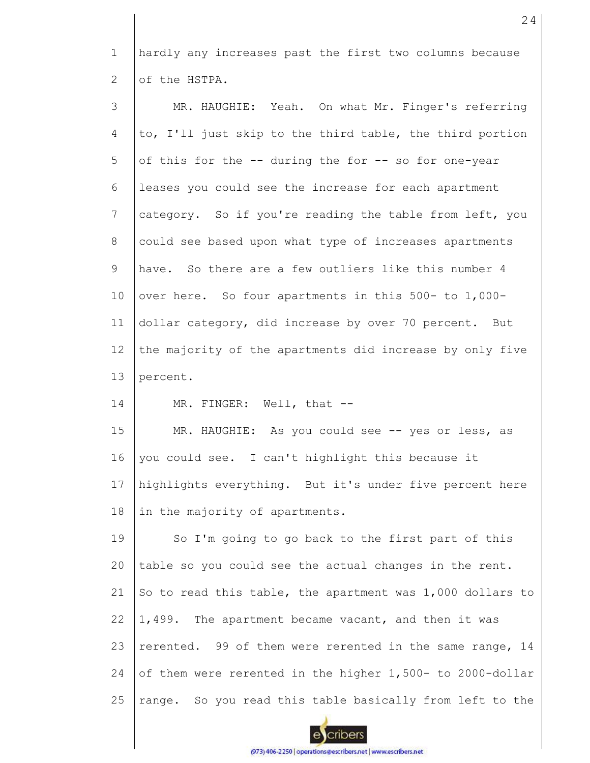1 2 hardly any increases past the first two columns because of the HSTPA.

| 3  | MR. HAUGHIE: Yeah. On what Mr. Finger's referring         |
|----|-----------------------------------------------------------|
| 4  | to, I'll just skip to the third table, the third portion  |
| 5  | of this for the -- during the for -- so for one-year      |
| 6  | leases you could see the increase for each apartment      |
| 7  | category. So if you're reading the table from left, you   |
| 8  | could see based upon what type of increases apartments    |
| 9  | have. So there are a few outliers like this number 4      |
| 10 | over here. So four apartments in this 500- to 1,000-      |
| 11 | dollar category, did increase by over 70 percent. But     |
| 12 | the majority of the apartments did increase by only five  |
| 13 | percent.                                                  |
| 14 | MR. FINGER: Well, that --                                 |
| 15 | MR. HAUGHIE: As you could see -- yes or less, as          |
| 16 | you could see. I can't highlight this because it          |
| 17 | highlights everything. But it's under five percent here   |
| 18 | in the majority of apartments.                            |
| 19 | So I'm going to go back to the first part of this         |
| 20 | table so you could see the actual changes in the rent.    |
| 21 | So to read this table, the apartment was 1,000 dollars to |
| 22 | 1,499. The apartment became vacant, and then it was       |
| 23 | rerented. 99 of them were rerented in the same range, 14  |
| 24 | of them were rerented in the higher 1,500- to 2000-dollar |
| 25 | range. So you read this table basically from left to the  |

 $\mathbf{e}$ cribers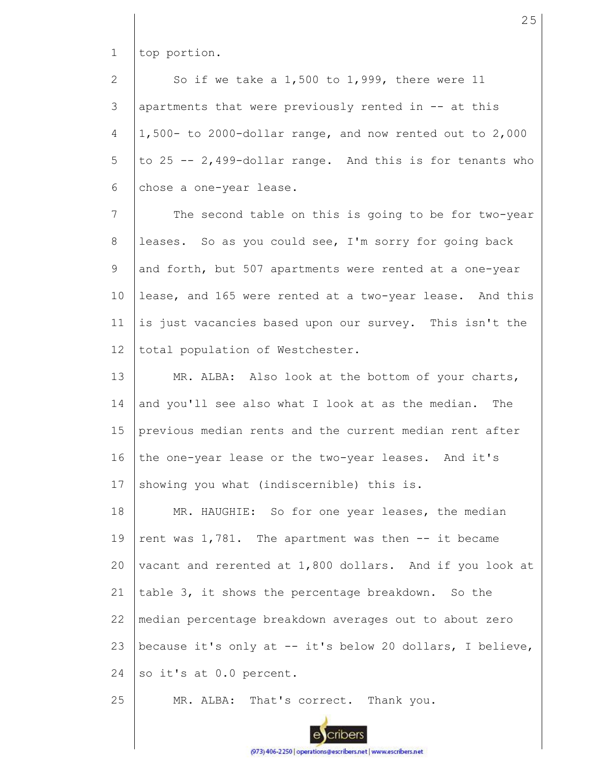1 top portion.

2 3 4 5 6 So if we take a 1,500 to 1,999, there were 11 apartments that were previously rented in -- at this 1,500- to 2000-dollar range, and now rented out to 2,000 to 25 -- 2,499-dollar range. And this is for tenants who chose a one-year lease.

7 8 9 10 11 12 The second table on this is going to be for two-year leases. So as you could see, I'm sorry for going back and forth, but 507 apartments were rented at a one-year lease, and 165 were rented at a two-year lease. And this is just vacancies based upon our survey. This isn't the total population of Westchester.

13 14 15 16 17 MR. ALBA: Also look at the bottom of your charts, and you'll see also what I look at as the median. The previous median rents and the current median rent after the one-year lease or the two-year leases. And it's showing you what (indiscernible) this is.

18 19 20 21 22 23 24 MR. HAUGHIE: So for one year leases, the median rent was 1,781. The apartment was then -- it became vacant and rerented at 1,800 dollars. And if you look at table 3, it shows the percentage breakdown. So the median percentage breakdown averages out to about zero because it's only at -- it's below 20 dollars, I believe, so it's at 0.0 percent.

25

MR. ALBA: That's correct. Thank you.

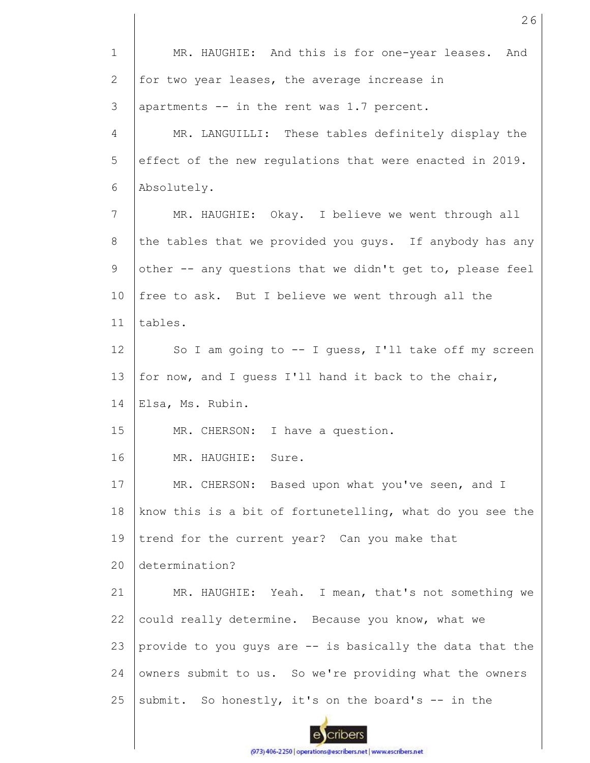| $\mathbf 1$  | MR. HAUGHIE: And this is for one-year leases. And         |
|--------------|-----------------------------------------------------------|
| $\mathbf{2}$ | for two year leases, the average increase in              |
| 3            | apartments -- in the rent was 1.7 percent.                |
| 4            | MR. LANGUILLI: These tables definitely display the        |
| 5            | effect of the new regulations that were enacted in 2019.  |
| 6            | Absolutely.                                               |
| 7            | MR. HAUGHIE: Okay. I believe we went through all          |
| 8            | the tables that we provided you guys. If anybody has any  |
| $\mathsf 9$  | other -- any questions that we didn't get to, please feel |
| 10           | free to ask. But I believe we went through all the        |
| 11           | tables.                                                   |
| 12           | So I am going to -- I guess, I'll take off my screen      |
| 13           | for now, and I guess I'll hand it back to the chair,      |
| 14           | Elsa, Ms. Rubin.                                          |
| 15           | MR. CHERSON: I have a question.                           |
| 16           | Sure.<br>MR. HAUGHIE:                                     |
| 17           | MR. CHERSON: Based upon what you've seen, and I           |
| $18\,$       | know this is a bit of fortunetelling, what do you see the |
| 19           | trend for the current year? Can you make that             |
| 20           | determination?                                            |
| 21           | MR. HAUGHIE: Yeah. I mean, that's not something we        |
| 22           | could really determine. Because you know, what we         |
| 23           | provide to you guys are -- is basically the data that the |
| 24           | owners submit to us. So we're providing what the owners   |
| 25           | submit. So honestly, it's on the board's -- in the        |
|              |                                                           |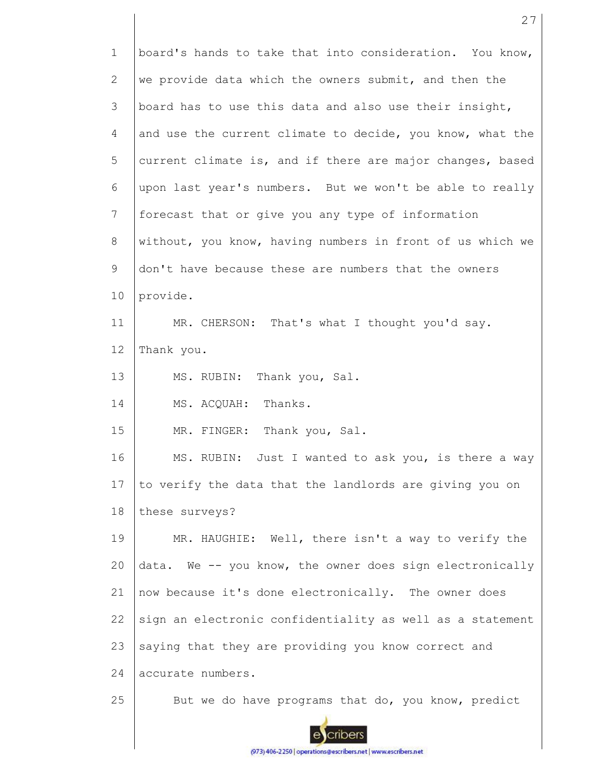| $\mathbf 1$ | board's hands to take that into consideration. You know,  |
|-------------|-----------------------------------------------------------|
| 2           | we provide data which the owners submit, and then the     |
| 3           | board has to use this data and also use their insight,    |
| 4           | and use the current climate to decide, you know, what the |
| 5           | current climate is, and if there are major changes, based |
| 6           | upon last year's numbers. But we won't be able to really  |
| 7           | forecast that or give you any type of information         |
| 8           | without, you know, having numbers in front of us which we |
| 9           | don't have because these are numbers that the owners      |
| 10          | provide.                                                  |
| 11          | MR. CHERSON: That's what I thought you'd say.             |
| 12          | Thank you.                                                |
| 13          | MS. RUBIN: Thank you, Sal.                                |
| 14          | MS. ACQUAH: Thanks.                                       |
| 15          | MR. FINGER: Thank you, Sal.                               |
| 16          | MS. RUBIN: Just I wanted to ask you, is there a way       |
| 17          | to verify the data that the landlords are giving you on   |
| 18          | these surveys?                                            |
| 19          | MR. HAUGHIE: Well, there isn't a way to verify the        |
| 20          | data. We -- you know, the owner does sign electronically  |
| 21          | now because it's done electronically. The owner does      |
| 22          | sign an electronic confidentiality as well as a statement |
| 23          | saying that they are providing you know correct and       |
| 24          | accurate numbers.                                         |
| 25          | But we do have programs that do, you know, predict        |

(973) 406-2250 | operations@escribers.net | www.escribers.net

escribers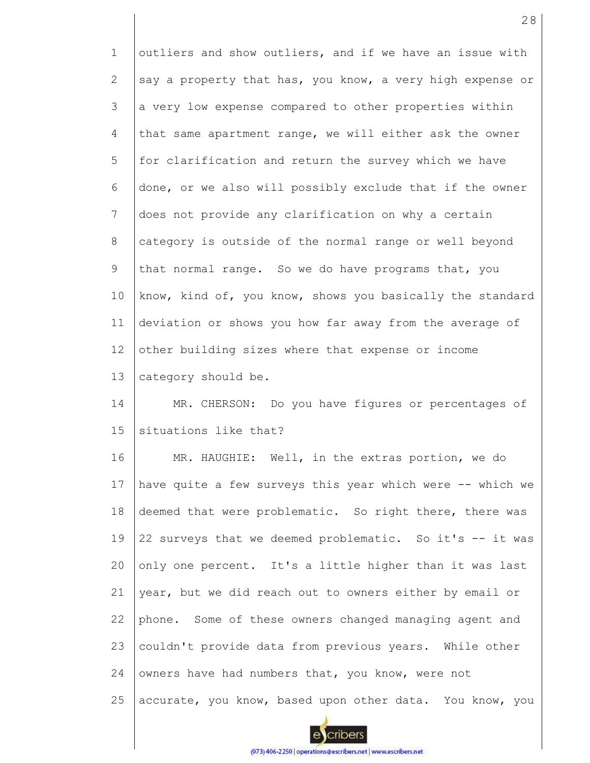1 2 3 4 5 6 7 8 9 10 11 12 13 14 15 16 17 18 19 20 21 22 23 24 25 outliers and show outliers, and if we have an issue with say a property that has, you know, a very high expense or a very low expense compared to other properties within that same apartment range, we will either ask the owner for clarification and return the survey which we have done, or we also will possibly exclude that if the owner does not provide any clarification on why a certain category is outside of the normal range or well beyond that normal range. So we do have programs that, you know, kind of, you know, shows you basically the standard deviation or shows you how far away from the average of other building sizes where that expense or income category should be. MR. CHERSON: Do you have figures or percentages of situations like that? MR. HAUGHIE: Well, in the extras portion, we do have quite a few surveys this year which were -- which we deemed that were problematic. So right there, there was 22 surveys that we deemed problematic. So it's -- it was only one percent. It's a little higher than it was last year, but we did reach out to owners either by email or phone. Some of these owners changed managing agent and couldn't provide data from previous years. While other owners have had numbers that, you know, were not accurate, you know, based upon other data. You know, you

cribers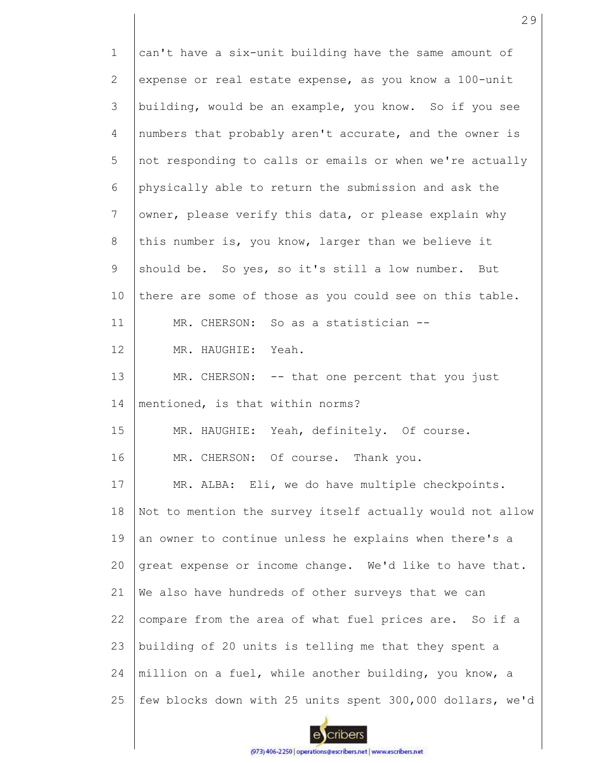1 2 3 4 5 6 7 8 9 10 11 12 13 14 15 16 17 18 19 20 21 22 23 24 25 can't have a six-unit building have the same amount of expense or real estate expense, as you know a 100-unit building, would be an example, you know. So if you see numbers that probably aren't accurate, and the owner is not responding to calls or emails or when we're actually physically able to return the submission and ask the owner, please verify this data, or please explain why this number is, you know, larger than we believe it should be. So yes, so it's still a low number. But there are some of those as you could see on this table. MR. CHERSON: So as a statistician --MR. HAUGHIE: Yeah. MR. CHERSON: -- that one percent that you just mentioned, is that within norms? MR. HAUGHIE: Yeah, definitely. Of course. MR. CHERSON: Of course. Thank you. MR. ALBA: Eli, we do have multiple checkpoints. Not to mention the survey itself actually would not allow an owner to continue unless he explains when there's a great expense or income change. We'd like to have that. We also have hundreds of other surveys that we can compare from the area of what fuel prices are. So if a building of 20 units is telling me that they spent a million on a fuel, while another building, you know, a few blocks down with 25 units spent 300,000 dollars, we'd

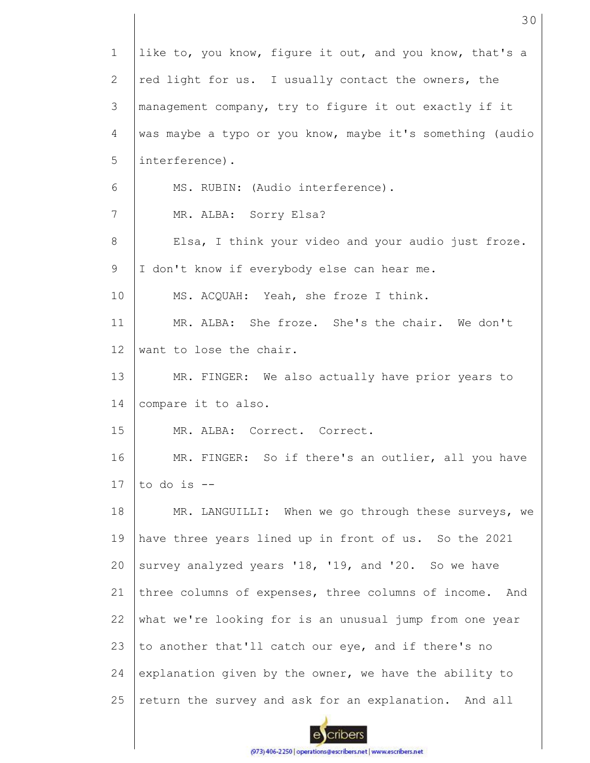| $\mathbf 1$ | like to, you know, figure it out, and you know, that's a  |
|-------------|-----------------------------------------------------------|
| 2           | red light for us. I usually contact the owners, the       |
| 3           | management company, try to figure it out exactly if it    |
| 4           | was maybe a typo or you know, maybe it's something (audio |
| 5           | interference).                                            |
| 6           | MS. RUBIN: (Audio interference).                          |
| 7           | MR. ALBA: Sorry Elsa?                                     |
| 8           | Elsa, I think your video and your audio just froze.       |
| 9           | I don't know if everybody else can hear me.               |
| 10          | MS. ACQUAH: Yeah, she froze I think.                      |
| 11          | MR. ALBA: She froze. She's the chair. We don't            |
| 12          | want to lose the chair.                                   |
| 13          | MR. FINGER: We also actually have prior years to          |
| 14          | compare it to also.                                       |
| 15          | MR. ALBA: Correct. Correct.                               |
| 16          | MR. FINGER: So if there's an outlier, all you have        |
| 17          | to do is $-$                                              |
| 18          | MR. LANGUILLI: When we go through these surveys, we       |
| 19          | have three years lined up in front of us. So the 2021     |
| 20          | survey analyzed years '18, '19, and '20. So we have       |
| 21          | three columns of expenses, three columns of income. And   |
| 22          | what we're looking for is an unusual jump from one year   |
| 23          | to another that'll catch our eye, and if there's no       |
| 24          | explanation given by the owner, we have the ability to    |
| 25          | return the survey and ask for an explanation. And all     |
|             |                                                           |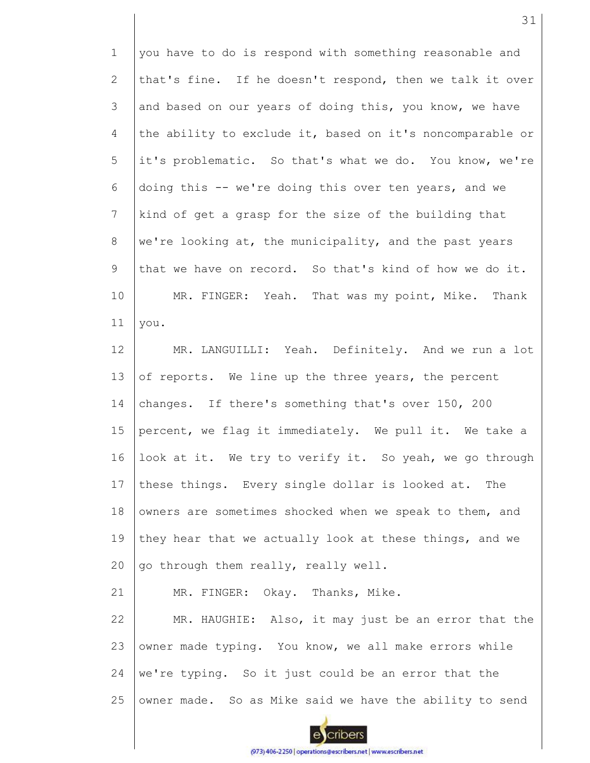1 2 3 4 5 6 7 8 9 10 11 you have to do is respond with something reasonable and that's fine. If he doesn't respond, then we talk it over and based on our years of doing this, you know, we have the ability to exclude it, based on it's noncomparable or it's problematic. So that's what we do. You know, we're doing this -- we're doing this over ten years, and we kind of get a grasp for the size of the building that we're looking at, the municipality, and the past years that we have on record. So that's kind of how we do it. MR. FINGER: Yeah. That was my point, Mike. Thank you.

12 13 14 15 16 17 18 19 20 MR. LANGUILLI: Yeah. Definitely. And we run a lot of reports. We line up the three years, the percent changes. If there's something that's over 150, 200 percent, we flag it immediately. We pull it. We take a look at it. We try to verify it. So yeah, we go through these things. Every single dollar is looked at. The owners are sometimes shocked when we speak to them, and they hear that we actually look at these things, and we go through them really, really well.

21 MR. FINGER: Okay. Thanks, Mike.

22 23 24 25 MR. HAUGHIE: Also, it may just be an error that the owner made typing. You know, we all make errors while we're typing. So it just could be an error that the owner made. So as Mike said we have the ability to send

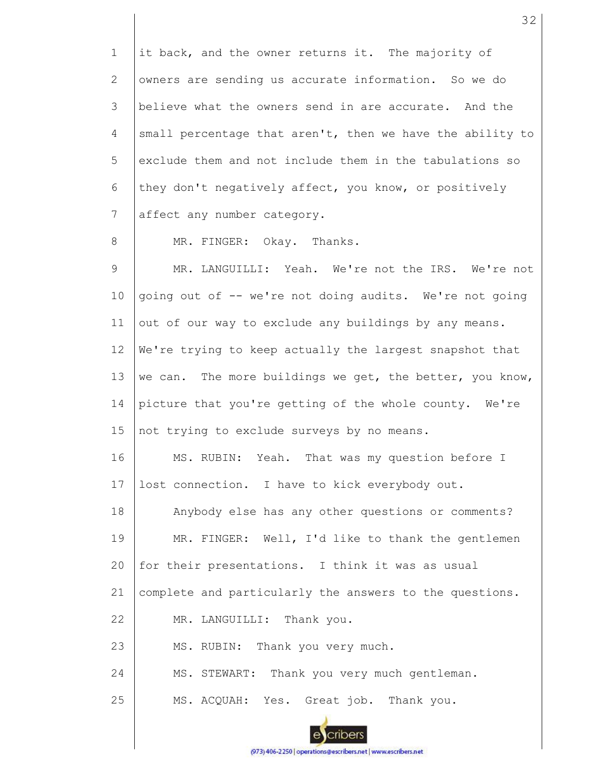1 2 3 4 5 6 7 8 9 10 11 12 13 14 15 16 17 18 19 20 21 22 23 24 25 it back, and the owner returns it. The majority of owners are sending us accurate information. So we do believe what the owners send in are accurate. And the small percentage that aren't, then we have the ability to exclude them and not include them in the tabulations so they don't negatively affect, you know, or positively affect any number category. MR. FINGER: Okay. Thanks. MR. LANGUILLI: Yeah. We're not the IRS. We're not going out of -- we're not doing audits. We're not going out of our way to exclude any buildings by any means. We're trying to keep actually the largest snapshot that we can. The more buildings we get, the better, you know, picture that you're getting of the whole county. We're not trying to exclude surveys by no means. MS. RUBIN: Yeah. That was my question before I lost connection. I have to kick everybody out. Anybody else has any other questions or comments? MR. FINGER: Well, I'd like to thank the gentlemen for their presentations. I think it was as usual complete and particularly the answers to the questions. MR. LANGUILLI: Thank you. MS. RUBIN: Thank you very much. MS. STEWART: Thank you very much gentleman. MS. ACQUAH: Yes. Great job. Thank you.

32

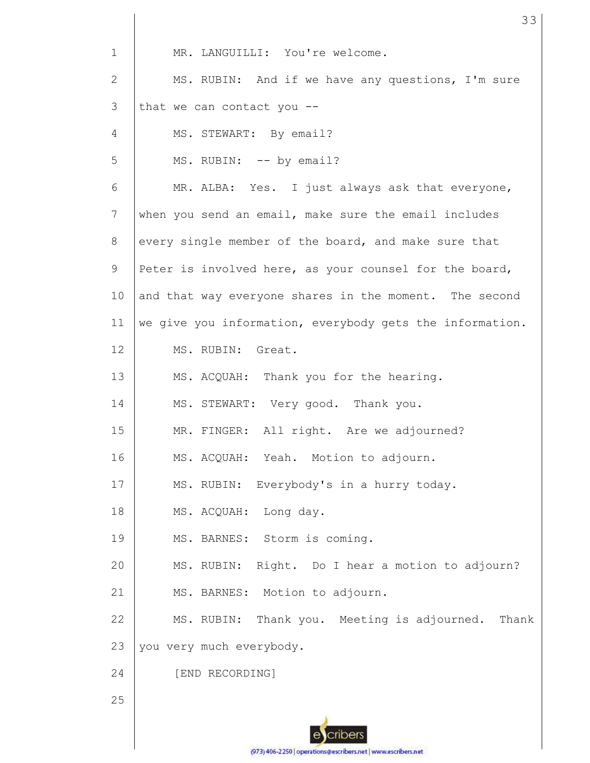| $\mathbf{1}$ | MR. LANGUILLI: You're welcome.                           |
|--------------|----------------------------------------------------------|
| 2            | MS. RUBIN: And if we have any questions, I'm sure        |
| 3            | that we can contact you $-$ -                            |
| 4            | MS. STEWART: By email?                                   |
| 5            | MS. RUBIN: -- by email?                                  |
| 6            | MR. ALBA: Yes. I just always ask that everyone,          |
| 7            | when you send an email, make sure the email includes     |
| 8            | every single member of the board, and make sure that     |
| 9            | Peter is involved here, as your counsel for the board,   |
| 10           | and that way everyone shares in the moment. The second   |
| 11           | we give you information, everybody gets the information. |
| 12           | MS. RUBIN: Great.                                        |
| 13           | MS. ACQUAH: Thank you for the hearing.                   |
| 14           | MS. STEWART: Very good. Thank you.                       |
| 15           | MR. FINGER: All right. Are we adjourned?                 |
| 16           | MS. ACQUAH: Yeah. Motion to adjourn.                     |
| 17           | MS. RUBIN: Everybody's in a hurry today.                 |
| 18           | MS. ACQUAH: Long day.                                    |
| 19           | MS. BARNES: Storm is coming.                             |
| 20           | MS. RUBIN: Right. Do I hear a motion to adjourn?         |
| 21           | MS. BARNES: Motion to adjourn.                           |
| 22           | MS. RUBIN: Thank you. Meeting is adjourned.<br>Thank     |
| 23           | you very much everybody.                                 |
| 24           | [END RECORDING]                                          |
| 25           |                                                          |
|              |                                                          |

ecribers (973) 406-2250 | operations@escribers.net | www.escribers.net 33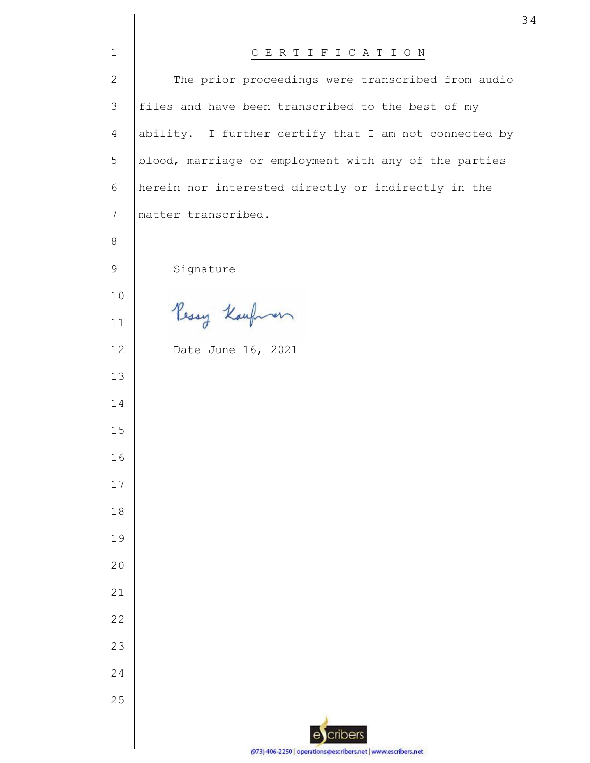| $\mathbf{1}$ | CERTIFICATION                                                 |
|--------------|---------------------------------------------------------------|
| $\mathbf{2}$ | The prior proceedings were transcribed from audio             |
| 3            | files and have been transcribed to the best of my             |
| 4            | ability. I further certify that I am not connected by         |
| 5            | blood, marriage or employment with any of the parties         |
| 6            | herein nor interested directly or indirectly in the           |
| 7            | matter transcribed.                                           |
| 8            |                                                               |
| 9            | Signature                                                     |
| 10           |                                                               |
| 11           | Pessy Kaufmen                                                 |
| 12           | Date June 16, 2021                                            |
| 13           |                                                               |
| 14           |                                                               |
| 15           |                                                               |
| 16           |                                                               |
| 17           |                                                               |
| 18           |                                                               |
| 19           |                                                               |
| 20           |                                                               |
| 21           |                                                               |
| 22           |                                                               |
| 23           |                                                               |
| 24           |                                                               |
| 25           |                                                               |
|              | cribers<br>e                                                  |
|              | (973) 406-2250   operations@escribers.net   www.escribers.net |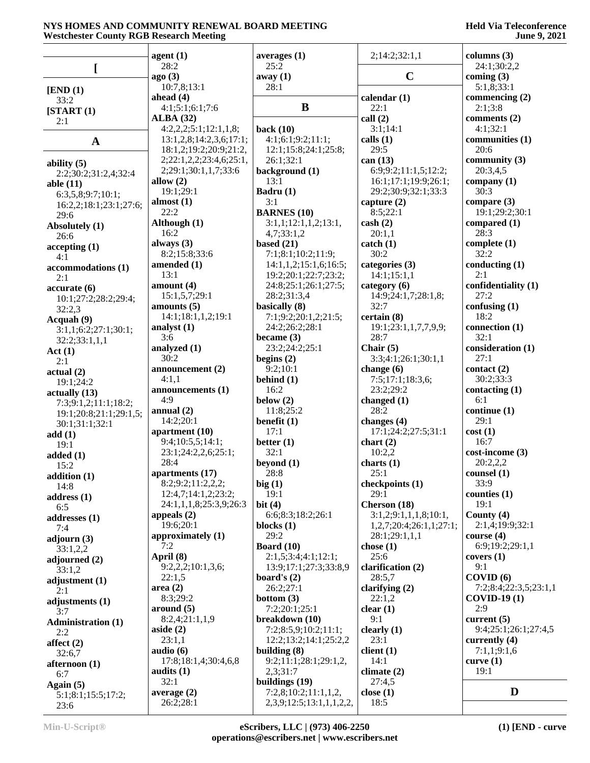|                                | agent(1)                                        | averages $(1)$                        | 2;14:2;32:1,1                                | columns $(3)$               |
|--------------------------------|-------------------------------------------------|---------------------------------------|----------------------------------------------|-----------------------------|
|                                | 28:2                                            | 25:2                                  |                                              | 24:1;30:2,2                 |
| <sub>[</sub>                   | ago(3)                                          | away(1)                               | $\mathbf C$                                  | coming $(3)$                |
| [END (1)]                      | 10:7,8;13:1                                     | 28:1                                  |                                              | 5:1,8;33:1                  |
| 33:2                           | ahead $(4)$                                     |                                       | calendar $(1)$                               | commencing $(2)$            |
| [START(1)]                     | 4:1;5:1;6:1;7:6                                 | B                                     | 22:1                                         | 2:1;3:8                     |
| 2:1                            | <b>ALBA</b> (32)                                |                                       | call(2)                                      | comments $(2)$              |
|                                | 4:2,2,2;5:1;12:1,1,8;                           | back $(10)$                           | 3:1;14:1                                     | 4:1;32:1                    |
| $\mathbf A$                    | 13:1,2,8;14:2,3,6;17:1;                         | 4:1;6:1;9:2;11:1;                     | calls $(1)$                                  | communities (1)             |
|                                | 18:1,2;19:2;20:9;21:2,                          | 12:1;15:8;24:1;25:8;                  | 29:5                                         | 20:6                        |
| ability $(5)$                  | 2;22:1,2,2;23:4,6;25:1,<br>2;29:1;30:1,1,7;33:6 | 26:1;32:1                             | can $(13)$                                   | community $(3)$<br>20:3,4,5 |
| 2:2;30:2;31:2,4;32:4           | allow $(2)$                                     | background (1)<br>13:1                | 6:9;9:2;11:1,5;12:2;<br>16:1;17:1;19:9;26:1; | company $(1)$               |
| able $(11)$                    | 19:1;29:1                                       | Badru (1)                             | 29:2;30:9;32:1;33:3                          | 30:3                        |
| 6:3,5,8;9:7;10:1;              | almost $(1)$                                    | 3:1                                   | capture $(2)$                                | compare $(3)$               |
| 16:2,2;18:1;23:1;27:6;<br>29:6 | 22:2                                            | <b>BARNES</b> (10)                    | 8:5;22:1                                     | 19:1;29:2;30:1              |
| Absolutely (1)                 | Although (1)                                    | 3:1,1;12:1,1,2;13:1,                  | $\cosh(2)$                                   | compared (1)                |
| 26:6                           | 16:2                                            | 4,7;33:1,2                            | 20:1,1                                       | 28:3                        |
| accepting(1)                   | always (3)                                      | based $(21)$                          | $\text{catch} (1)$                           | complete $(1)$              |
| 4:1                            | 8:2;15:8;33:6                                   | 7:1;8:1;10:2;11:9;                    | 30:2                                         | 32:2                        |
| accommodations (1)             | amended (1)                                     | 14:1,1,2;15:1,6;16:5;                 | categories (3)                               | conducting $(1)$            |
| 2:1                            | 13:1                                            | 19:2;20:1;22:7;23:2;                  | 14:1;15:1,1                                  | 2:1                         |
| accurate(6)                    | amount $(4)$                                    | 24:8;25:1;26:1;27:5;                  | category $(6)$                               | confidentiality (1)         |
| 10:1;27:2;28:2;29:4;           | 15:1,5,7;29:1                                   | 28:2;31:3,4                           | 14:9;24:1,7;28:1,8;                          | 27:2<br>confusing (1)       |
| 32:2,3                         | amounts $(5)$<br>14:1;18:1,1,2;19:1             | basically (8)<br>7:1;9:2;20:1,2;21:5; | 32:7<br>certain(8)                           | 18:2                        |
| Acquah (9)                     | analyst $(1)$                                   | 24:2;26:2;28:1                        | 19:1;23:1,1,7,7,9,9;                         | connection (1)              |
| 3:1,1;6:2;27:1;30:1;           | 3:6                                             | became $(3)$                          | 28:7                                         | 32:1                        |
| 32:2;33:1,1,1                  | analyzed (1)                                    | 23:2;24:2;25:1                        | Chair $(5)$                                  | consideration (1)           |
| Act(1)<br>2:1                  | 30:2                                            | begins $(2)$                          | 3:3;4:1;26:1;30:1,1                          | 27:1                        |
| actual(2)                      | announcement (2)                                | 9:2;10:1                              | change $(6)$                                 | contact $(2)$               |
| 19:1;24:2                      | 4:1,1                                           | behind $(1)$                          | 7:5;17:1;18:3,6;                             | 30:2;33:3                   |
| actually (13)                  | announcements (1)                               | 16:2                                  | 23:2;29:2                                    | contacting $(1)$            |
| 7:3;9:1,2;11:1;18:2;           | 4:9                                             | below $(2)$                           | changed $(1)$                                | 6:1                         |
| 19:1;20:8;21:1;29:1,5;         | annual $(2)$                                    | 11:8;25:2                             | 28:2                                         | continue (1)                |
| 30:1;31:1;32:1                 | 14:2;20:1                                       | benefit $(1)$                         | changes $(4)$                                | 29:1                        |
| add(1)                         | apartment $(10)$<br>9:4;10:5,5;14:1;            | 17:1                                  | 17:1;24:2;27:5;31:1                          | cost(1)<br>16:7             |
| 19:1                           | 23:1;24:2,2,6;25:1;                             | better $(1)$<br>32:1                  | chart(2)<br>10:2,2                           | $cost\text{-}income (3)$    |
| added $(1)$                    | 28:4                                            | beyond $(1)$                          | charts $(1)$                                 | 20:2,2,2                    |
| 15:2                           | apartments (17)                                 | 28:8                                  | 25:1                                         | counsel (1)                 |
| addition (1)<br>14:8           | 8:2;9:2;11:2,2,2;                               | big(1)                                | checkpoints (1)                              | 33:9                        |
| address(1)                     | 12:4,7;14:1,2;23:2;                             | 19:1                                  | 29:1                                         | counties $(1)$              |
| 6:5                            | 24:1,1,1,8;25:3,9;26:3                          | bit $(4)$                             | Cherson (18)                                 | 19:1                        |
| addresses (1)                  | appeals $(2)$                                   | 6:6;8:3;18:2;26:1                     | 3:1,2;9:1,1,1,8;10:1,                        | County (4)                  |
| 7:4                            | 19:6;20:1                                       | blocks $(1)$                          | 1,2,7;20:4;26:1,1;27:1;                      | 2:1,4;19:9;32:1             |
| adjourn $(3)$                  | approximately (1)                               | 29:2                                  | 28:1;29:1,1,1                                | course $(4)$                |
| 33:1,2,2                       | 7:2                                             | Board $(10)$                          | chose $(1)$                                  | 6:9;19:2;29:1,1             |
| adjourned (2)                  | April (8)                                       | 2:1,5;3:4;4:1;12:1;                   | 25:6                                         | covers(1)                   |
| 33:1,2                         | 9:2,2,2;10:1,3,6;<br>22:1,5                     | 13:9;17:1;27:3;33:8,9                 | clarification (2)                            | 9:1<br>COVID(6)             |
| adjustment $(1)$               | area(2)                                         | board's $(2)$<br>26:2;27:1            | 28:5,7<br>clarifying $(2)$                   | 7:2;8:4;22:3,5;23:1,1       |
| 2:1                            | 8:3;29:2                                        | bottom $(3)$                          | 22:1,2                                       | $COVID-19(1)$               |
| adjustments (1)<br>3:7         | around (5)                                      | 7:2;20:1;25:1                         | clear $(1)$                                  | 2:9                         |
| <b>Administration (1)</b>      | 8:2,4;21:1,1,9                                  | breakdown (10)                        | 9:1                                          | current $(5)$               |
| 2:2                            | aside $(2)$                                     | 7:2;8:5,9;10:2;11:1;                  | clearly $(1)$                                | 9:4;25:1;26:1;27:4,5        |
| affect $(2)$                   | 23:1,1                                          | 12:2;13:2;14:1;25:2,2                 | 23:1                                         | currently $(4)$             |
| 32:6,7                         | audio $(6)$                                     | building $(8)$                        | client(1)                                    | 7:1,1;9:1,6                 |
| afternoon (1)                  | 17:8;18:1,4;30:4,6,8                            | 9:2;11:1;28:1;29:1,2,                 | 14:1                                         | curve $(1)$                 |
| 6:7                            | audits $(1)$                                    | 2,3;31:7                              | climate $(2)$                                | 19:1                        |
| Again $(5)$                    | 32:1                                            | buildings (19)                        | 27:4,5                                       |                             |
| 5:1;8:1;15:5;17:2;             | average $(2)$                                   | 7:2,8;10:2;11:1,1,2,                  | close $(1)$                                  | D                           |
| 23.6                           | 26:2;28:1                                       | 2, 3, 9; 12: 5; 13: 1, 1, 1, 2, 2,    | 18:5                                         |                             |

23:6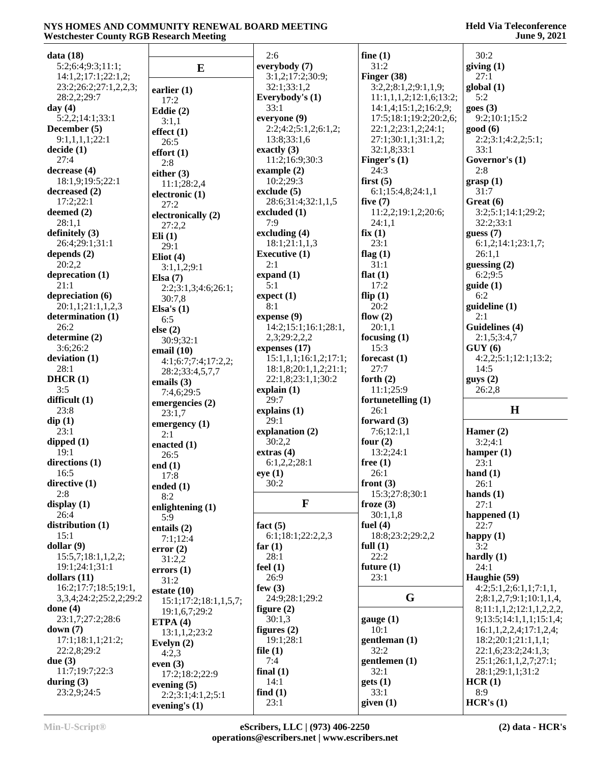| data(18)                               |                                     | 2:6                                   | fine $(1)$              | 30:2                                   |
|----------------------------------------|-------------------------------------|---------------------------------------|-------------------------|----------------------------------------|
| 5:2;6:4;9:3;11:1;                      | $\bf{E}$                            | everybody (7)                         | 31:2                    | giving $(1)$                           |
| 14:1,2;17:1;22:1,2;                    |                                     | 3:1,2;17:2;30:9;                      | Finger $(38)$           | 27:1                                   |
| 23:2;26:2;27:1,2,2,3;                  | earlier $(1)$                       | 32:1;33:1,2                           | 3:2,2;8:1,2;9:1,1,9;    | global(1)                              |
| 28:2,2;29:7                            | 17:2                                | Everybody's (1)                       | 11:1,1,1,2;12:1,6;13:2; | 5:2                                    |
| day $(4)$                              | Eddie (2)                           | 33:1                                  | 14:1,4;15:1,2;16:2,9;   | goes(3)                                |
| 5:2,2;14:1;33:1                        | 3:1,1                               | everyone (9)                          | 17:5;18:1;19:2;20:2,6;  | 9:2;10:1;15:2                          |
| December (5)                           | effect $(1)$                        | 2:2;4:2;5:1,2;6:1,2;                  | 22:1,2;23:1,2;24:1;     | good(6)                                |
| 9:1,1,1,1;22:1                         | 26:5                                | 13:8;33:1,6                           | 27:1;30:1,1;31:1,2;     | 2:2;3:1;4:2,2;5:1;                     |
| decide(1)                              | effort(1)                           | exactly $(3)$                         | 32:1,8;33:1             | 33:1                                   |
| 27:4                                   | 2:8                                 | 11:2;16:9;30:3                        | Finger's $(1)$          | Governor's (1)                         |
| decrease(4)<br>18:1,9;19:5;22:1        | either $(3)$                        | example $(2)$<br>10:2;29:3            | 24:3<br>first $(5)$     | 2:8                                    |
| decreased $(2)$                        | 11:1;28:2,4                         | exclude $(5)$                         | 6:1;15:4,8;24:1,1       | grasp(1)<br>31:7                       |
| 17:2;22:1                              | electronic (1)                      | 28:6;31:4;32:1,1,5                    | five $(7)$              | Great (6)                              |
| deemed $(2)$                           | 27:2<br>electronically (2)          | excluded $(1)$                        | 11:2,2;19:1,2;20:6;     | 3:2;5:1;14:1;29:2;                     |
| 28:1,1                                 | 27:2,2                              | 7:9                                   | 24:1,1                  | 32:2;33:1                              |
| definitely $(3)$                       | Eli(1)                              | excluding (4)                         | fix(1)                  | guess $(7)$                            |
| 26:4;29:1;31:1                         | 29:1                                | 18:1;21:1,1,3                         | 23:1                    | 6:1,2;14:1;23:1,7;                     |
| depends $(2)$                          | Eliot $(4)$                         | <b>Executive (1)</b>                  | flag $(1)$              | 26:1,1                                 |
| 20:2,2                                 | 3:1,1,2;9:1                         | 2:1                                   | 31:1                    | guessing $(2)$                         |
| deprecation (1)                        | Elsa $(7)$                          | expand $(1)$                          | flat $(1)$              | 6:2;9:5                                |
| 21:1                                   | 2:2;3:1,3;4:6;26:1;                 | 5:1                                   | 17:2                    | guide(1)                               |
| depreciation (6)                       | 30:7,8                              | expect(1)                             | flip $(1)$              | 6:2                                    |
| 20:1,1;21:1,1,2,3                      | Elsa's $(1)$                        | 8:1                                   | 20:2<br>flow $(2)$      | guideline (1)<br>2:1                   |
| determination (1)<br>26:2              | 6:5                                 | expense $(9)$<br>14:2;15:1;16:1;28:1, | 20:1,1                  | Guidelines (4)                         |
| determine $(2)$                        | else (2)                            | 2,3;29:2,2,2                          | focusing $(1)$          | 2:1,5;3:4,7                            |
| 3:6;26:2                               | 30:9;32:1                           | expenses $(17)$                       | 15:3                    | GUY(6)                                 |
| deviation(1)                           | email $(10)$<br>4:1;6:7;7:4;17:2,2; | 15:1,1,1;16:1,2;17:1;                 | forecast $(1)$          | 4:2,2;5:1;12:1;13:2;                   |
| 28:1                                   | 28:2;33:4,5,7,7                     | 18:1,8;20:1,1,2;21:1;                 | 27:7                    | 14:5                                   |
| DHCR(1)                                | emails $(3)$                        | 22:1,8;23:1,1;30:2                    | forth $(2)$             | guys(2)                                |
| 3:5                                    | 7:4,6;29:5                          | explain $(1)$                         | 11:1;25:9               | 26:2,8                                 |
| difficult $(1)$                        | emergencies $(2)$                   | 29:7                                  | fortunetelling (1)      |                                        |
| 23:8                                   | 23:1,7                              | explains (1)                          | 26:1                    | $\mathbf H$                            |
| $\text{dip}(1)$                        | emergency $(1)$                     | 29:1                                  | forward $(3)$           |                                        |
| 23:1                                   | 2:1                                 | explanation (2)                       | 7:6;12:1,1              | Hamer $(2)$                            |
| dipped $(1)$                           | enacted $(1)$                       | 30:2,2                                | four $(2)$              | 3:2;4:1                                |
| 19:1<br>directions (1)                 | 26:5                                | extras(4)<br>6:1,2,2;28:1             | 13:2;24:1<br>free $(1)$ | hamper $(1)$<br>23:1                   |
| 16:5                                   | end $(1)$                           | eye(1)                                | 26:1                    | hand $(1)$                             |
| directive (1)                          | 17:8                                | 30:2                                  | front $(3)$             | 26:1                                   |
| 2:8                                    | ended $(1)$<br>8:2                  |                                       | 15:3;27:8;30:1          | hands $(1)$                            |
| display $(1)$                          | enlightening (1)                    | $\mathbf{F}$                          | froze $(3)$             | 27:1                                   |
| 26:4                                   | 5:9                                 |                                       | 30:1,1,8                | happened (1)                           |
| distribution (1)                       | entails (2)                         | fact $(5)$                            | fuel $(4)$              | 22:7                                   |
| 15:1                                   | 7:1;12:4                            | 6:1;18:1;22:2,2,3                     | 18:8;23:2;29:2,2        | happy $(1)$                            |
| dollar(9)                              | error(2)                            | far(1)                                | full $(1)$              | 3:2                                    |
| 15:5,7;18:1,1,2,2;                     | 31:2,2                              | 28:1                                  | 22:2                    | hardly $(1)$                           |
| 19:1;24:1;31:1                         | errors(1)                           | feel $(1)$                            | future $(1)$            | 24:1                                   |
| dollars $(11)$<br>16:2;17:7;18:5;19:1, | 31:2                                | 26:9<br>few $(3)$                     | 23:1                    | Haughie (59)<br>4:2;5:1,2;6:1,1;7:1,1, |
| 3, 3, 4; 24: 2; 25: 2, 2; 29: 2        | estate $(10)$                       | 24:9;28:1;29:2                        | G                       | 2;8:1,2,7;9:1;10:1,1,4,                |
| done $(4)$                             | 15:1;17:2;18:1,1,5,7;               | figure $(2)$                          |                         | 8;11:1,1,2;12:1,1,2,2,2,               |
| 23:1,7;27:2;28:6                       | 19:1,6,7;29:2                       | 30:1,3                                | gauge $(1)$             | 9;13:5;14:1,1,1;15:1,4;                |
| down(7)                                | ETPA $(4)$<br>13:1,1,2;23:2         | figures $(2)$                         | 10:1                    | 16:1,1,2,2,4;17:1,2,4;                 |
| 17:1;18:1,1;21:2;                      | Evelyn $(2)$                        | 19:1;28:1                             | gentleman(1)            | 18:2;20:1;21:1,1,1;                    |
| 22:2,8;29:2                            | 4:2,3                               | file $(1)$                            | 32:2                    | 22:1,6;23:2;24:1,3;                    |
| due $(3)$                              | even $(3)$                          | 7:4                                   | gentlemen (1)           | 25:1;26:1,1,2,7;27:1;                  |
| 11:7;19:7;22:3                         | 17:2;18:2;22:9                      | final $(1)$                           | 32:1                    | 28:1;29:1,1;31:2                       |
| during $(3)$                           | evening $(5)$                       | 14:1                                  | gets(1)                 | HCR(1)                                 |
| 23:2,9;24:5                            | 2:2;3:1;4:1,2;5:1                   | find(1)                               | 33:1                    | 8:9                                    |
|                                        | evening's $(1)$                     | 23:1                                  | given $(1)$             | HCR's(1)                               |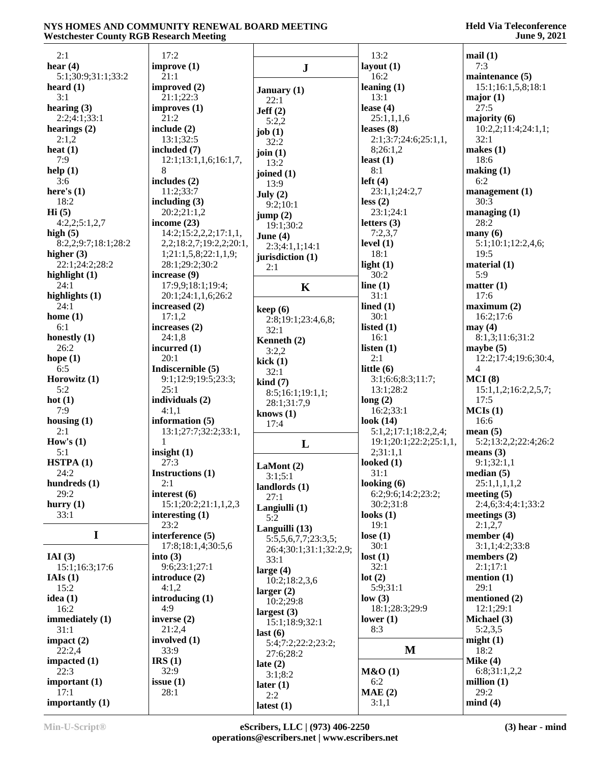| 2:1                 | 17:2                                  |                          | 13:2                     | mail(1)                    |
|---------------------|---------------------------------------|--------------------------|--------------------------|----------------------------|
| hear $(4)$          | improve (1)                           | ${\bf J}$                | layout $(1)$             | 7:3                        |
| 5:1;30:9;31:1;33:2  | 21:1                                  |                          | 16:2                     | maintenance (5)            |
| heard $(1)$         | improved (2)                          | January (1)              | leaning $(1)$            | 15:1;16:1,5,8;18:1         |
| 3:1                 | 21:1;22:3                             | 22:1                     | 13:1                     | major $(1)$                |
| hearing $(3)$       | improves(1)                           | Jeff(2)                  | lease $(4)$              | 27:5                       |
| 2:2;4:1;33:1        | 21:2                                  | 5:2,2                    | 25:1,1,1,6               | majority $(6)$             |
| hearings $(2)$      | include $(2)$                         | job $(1)$                | leases $(8)$             | 10:2,2;11:4;24:1,1;        |
| 2:1,2               | 13:1;32:5                             | 32:2                     | 2:1;3:7;24:6;25:1,1,     | 32:1                       |
| heat $(1)$<br>7:9   | included (7)<br>12:1;13:1,1,6;16:1,7, | join $(1)$               | 8;26:1,2<br>least $(1)$  | makes $(1)$<br>18:6        |
| help(1)             | 8                                     | 13:2                     | 8:1                      | making (1)                 |
| 3:6                 | includes (2)                          | joined $(1)$             | left $(4)$               | 6:2                        |
| here's $(1)$        | 11:2;33:7                             | 13:9                     | 23:1,1;24:2,7            | management(1)              |
| 18:2                | including $(3)$                       | July $(2)$<br>9:2;10:1   | less(2)                  | 30:3                       |
| Hi(5)               | 20:2;21:1,2                           | jump(2)                  | 23:1;24:1                | managing $(1)$             |
| 4:2,2;5:1,2,7       | income $(23)$                         | 19:1;30:2                | letters $(3)$            | 28:2                       |
| high $(5)$          | 14:2;15:2,2,2;17:1,1,                 | June $(4)$               | 7:2,3,7                  | $\max(6)$                  |
| 8:2,2;9:7;18:1;28:2 | 2,2;18:2,7;19:2,2;20:1,               | 2:3;4:1,1;14:1           | level $(1)$              | 5:1;10:1;12:2,4,6;         |
| higher $(3)$        | 1;21:1,5,8;22:1,1,9;                  | jurisdiction (1)         | 18:1                     | 19:5                       |
| 22:1:24:2:28:2      | 28:1;29:2;30:2                        | 2:1                      | light $(1)$              | material $(1)$             |
| highlight $(1)$     | increase (9)                          |                          | 30:2                     | 5:9                        |
| 24:1                | 17:9,9;18:1;19:4;                     | K                        | line $(1)$               | matter $(1)$               |
| highlights (1)      | 20:1;24:1,1,6;26:2                    |                          | 31:1                     | 17:6                       |
| 24:1<br>home $(1)$  | increased (2)<br>17:1,2               | keep(6)                  | lined $(1)$<br>30:1      | maximum (2)<br>16:2;17:6   |
| 6:1                 | increases (2)                         | 2:8;19:1;23:4,6,8;       | listed $(1)$             | may(4)                     |
| honestly $(1)$      | 24:1,8                                | 32:1                     | 16:1                     | 8:1,3;11:6;31:2            |
| 26:2                | incurred $(1)$                        | Kenneth (2)              | listen $(1)$             | maybe $(5)$                |
| hope $(1)$          | 20:1                                  | 3:2,2<br>kick(1)         | 2:1                      | 12:2;17:4;19:6;30:4,       |
| 6:5                 | Indiscernible (5)                     | 32:1                     | little $(6)$             | $\overline{4}$             |
| Horowitz $(1)$      | 9:1;12:9;19:5;23:3;                   | $\operatorname{kind}(7)$ | 3:1;6:6;8:3;11:7;        | MCI(8)                     |
| 5:2                 | 25:1                                  | 8:5;16:1;19:1,1;         | 13:1;28:2                | 15:1,1,2;16:2,2,5,7;       |
| hot $(1)$           | individuals (2)                       | 28:1;31:7,9              | long(2)                  | 17:5                       |
| 7:9                 | 4:1,1                                 | knows $(1)$              | 16:2;33:1                | MCIs(1)                    |
| housing $(1)$       | information $(5)$                     | 17:4                     | look $(14)$              | 16:6                       |
| 2:1                 | 13:1;27:7;32:2;33:1,                  |                          | 5:1,2;17:1;18:2,2,4;     | mean(5)                    |
| How's $(1)$         | $\mathbf{1}$                          | L                        | 19:1;20:1;22:2;25:1,1,   | 5:2;13:2,2;22:4;26:2       |
| 5:1<br>HSTPA(1)     | insight $(1)$<br>27:3                 |                          | 2;31:1,1<br>looked $(1)$ | means $(3)$<br>9:1;32:1,1  |
| 24:2                | Instructions (1)                      | LaMont $(2)$             | 31:1                     | median(5)                  |
| hundreds $(1)$      | 2:1                                   | 3:1;5:1                  | looking $(6)$            | 25:1,1,1,1,2               |
| 29:2                | interest (6)                          | landlords $(1)$          | 6:2;9:6;14:2;23:2;       | meeting $(5)$              |
| hurry $(1)$         | 15:1;20:2;21:1,1,2,3                  | 27:1                     | 30:2;31:8                | 2:4,6;3:4;4:1;33:2         |
| 33:1                | interesting $(1)$                     | Langiulli (1)<br>5:2     | looks $(1)$              | meetings $(3)$             |
|                     | 23:2                                  | Languilli (13)           | 19:1                     | 2:1,2,7                    |
| $\mathbf I$         | interference (5)                      | 5:5,5,6,7,7;23:3,5;      | lose $(1)$               | member $(4)$               |
|                     | 17:8;18:1,4;30:5,6                    | 26:4;30:1;31:1;32:2,9;   | 30:1                     | 3:1,1;4:2;33:8             |
| IAI $(3)$           | into $(3)$                            | 33:1                     | lost(1)                  | members $(2)$              |
| 15:1;16:3;17:6      | 9:6;23:1;27:1                         | large $(4)$              | 32:1                     | 2:1;17:1                   |
| IAIs(1)             | introduce (2)                         | 10:2;18:2,3,6            | lot(2)                   | mention (1)                |
| 15:2                | 4:1,2                                 | larger $(2)$             | 5:9;31:1                 | 29:1                       |
| idea $(1)$<br>16:2  | introducing $(1)$<br>4:9              | 10:2;29:8                | low(3)<br>18:1;28:3;29:9 | mentioned (2)<br>12:1;29:1 |
| immediately (1)     | inverse $(2)$                         | largest $(3)$            | lower $(1)$              | Michael (3)                |
| 31:1                | 21:2,4                                | 15:1;18:9;32:1           | 8:3                      | 5:2,3,5                    |
| impact (2)          | involved (1)                          | last(6)                  |                          | might(1)                   |
| 22:2,4              | 33:9                                  | 5:4;7:2;22:2;23:2;       | $\mathbf M$              | 18:2                       |
| impacted $(1)$      | IRS(1)                                | 27:6;28:2<br>late $(2)$  |                          | Mike $(4)$                 |
| 22:3                | 32:9                                  | 3:1;8:2                  | M&O(1)                   | 6:8;31:1,2,2               |
| important (1)       | issue(1)                              | later (1)                | 6:2                      | million $(1)$              |
| 17:1                | 28:1                                  | 2:2                      | MAE(2)                   | 29:2                       |
| importantly $(1)$   |                                       | latest $(1)$             | 3:1,1                    | mind(4)                    |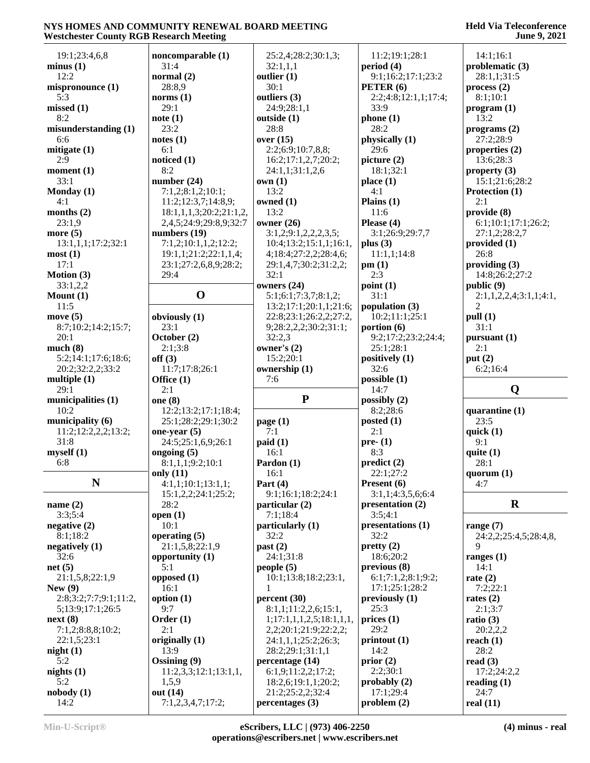### **Held Via Teleconference June 9, 2021**

| westenester County NOD Nestar en Meeting |                               |                                     |                          | 0 unc 7, 2021          |
|------------------------------------------|-------------------------------|-------------------------------------|--------------------------|------------------------|
| 19:1;23:4,6,8                            | noncomparable (1)             | 25:2,4;28:2;30:1,3;                 | 11:2;19:1;28:1           | 14:1:16:1              |
| minus(1)                                 | 31:4                          | 32:1,1,1                            | period (4)               | problematic (3)        |
| 12:2                                     | normal $(2)$                  | outlier $(1)$                       | 9:1;16:2;17:1;23:2       | 28:1,1;31:5            |
| mispronounce (1)                         | 28:8,9                        | 30:1                                | PETER (6)                | process(2)             |
| 5:3                                      | norms $(1)$                   | outliers (3)                        | 2:2;4:8;12:1,1;17:4;     | 8:1;10:1               |
| missed(1)                                | 29:1                          | 24:9;28:1,1                         | 33:9                     | program (1)            |
| 8:2                                      |                               |                                     |                          |                        |
|                                          | note(1)                       | outside (1)<br>28:8                 | phone(1)<br>28:2         | 13:2                   |
| misunderstanding (1)                     | 23:2                          |                                     |                          | programs(2)            |
| 6:6                                      | notes(1)                      | over $(15)$                         | physically (1)           | 27:2;28:9              |
| mitigate $(1)$                           | 6:1                           | 2:2;6:9;10:7,8,8;                   | 29:6                     | properties (2)         |
| 2:9                                      | noticed (1)                   | 16:2;17:1,2,7;20:2;                 | picture (2)              | 13:6;28:3              |
| moment $(1)$                             | 8:2                           | 24:1,1;31:1,2,6                     | 18:1;32:1                | property $(3)$         |
| 33:1                                     | number $(24)$                 | own(1)                              | place(1)                 | 15:1;21:6;28:2         |
| Monday $(1)$                             | 7:1,2;8:1,2;10:1;             | 13:2                                | 4:1                      | Protection (1)         |
| 4:1                                      | 11:2;12:3,7;14:8,9;           | owned $(1)$                         | Plains $(1)$             | 2:1                    |
| months $(2)$                             | 18:1,1,1,3;20:2;21:1,2,       | 13:2                                | 11:6                     | provide (8)            |
| 23:1,9                                   | 2,4,5;24:9;29:8,9;32:7        | owner $(26)$                        | Please (4)               | 6:1;10:1;17:1;26:2;    |
| more $(5)$                               | numbers $(19)$                | 3:1,2;9:1,2,2,2,3,5;                | 3:1;26:9;29:7,7          | 27:1,2;28:2,7          |
| 13:1,1,1;17:2;32:1                       | 7:1,2;10:1,1,2;12:2;          | 10:4;13:2;15:1,1;16:1,              | plus $(3)$               | provided (1)           |
| most(1)                                  | 19:1,1;21:2;22:1,1,4;         | 4;18:4;27:2,2;28:4,6;               | 11:1,1;14:8              | 26:8                   |
| 17:1                                     | 23:1;27:2,6,8,9;28:2;         | 29:1,4,7;30:2;31:2,2;               | pm(1)                    | providing $(3)$        |
| Motion (3)                               | 29:4                          | 32:1                                | 2:3                      | 14:8;26:2;27:2         |
| 33:1,2,2                                 |                               | owners (24)                         | point(1)                 | public (9)             |
| Mount (1)                                | $\mathbf 0$                   | 5:1;6:1;7:3,7;8:1,2;                | 31:1                     | 2:1,1,2,2,4;3:1,1;4:1, |
| 11:5                                     |                               | 13:2;17:1;20:1,1;21:6;              | population (3)           | $\overline{c}$         |
|                                          |                               |                                     | 10:2;11:1;25:1           |                        |
| move $(5)$                               | obviously (1)                 | 22:8;23:1;26:2,2;27:2,              |                          | pull (1)               |
| 8:7;10:2;14:2;15:7;                      | 23:1                          | 9;28:2,2,2;30:2;31:1;               | portion $(6)$            | 31:1                   |
| 20:1                                     | October (2)                   | 32:2,3                              | 9:2;17:2;23:2;24:4;      | pursuant (1)           |
| much(8)                                  | 2:1;3:8                       | owner's (2)                         | 25:1;28:1                | 2:1                    |
| 5:2;14:1;17:6;18:6;                      | off(3)                        | 15:2;20:1                           | positively (1)           | put $(2)$              |
| 20:2;32:2,2;33:2                         | 11:7;17:8;26:1                | ownership (1)                       | 32:6                     | 6:2;16:4               |
| multiple $(1)$                           | Office (1)                    | 7:6                                 | possible(1)              |                        |
| 29:1                                     | 2:1                           |                                     | 14:7                     | Q                      |
| municipalities (1)                       | one $(8)$                     | ${\bf P}$                           | possibly $(2)$           |                        |
| 10:2                                     | 12:2;13:2;17:1;18:4;          |                                     | 8:2;28:6                 | quarantine $(1)$       |
| municipality (6)                         | 25:1;28:2;29:1;30:2           | page $(1)$                          | posted $(1)$             | 23:5                   |
| 11:2;12:2,2,2;13:2;                      | one-year $(5)$                | 7:1                                 | 2:1                      | quick $(1)$            |
| 31:8                                     | 24:5;25:1,6,9;26:1            | paid(1)                             | $pre- (1)$               | 9:1                    |
| myself(1)                                | ongoing $(5)$                 | 16:1                                | 8:3                      | quite $(1)$            |
| 6:8                                      | 8:1,1,1;9:2;10:1              | Pardon (1)                          | predict(2)               | 28:1                   |
|                                          | only $(11)$                   | 16:1                                | 22:1;27:2                | quorum $(1)$           |
| N                                        | 4:1,1;10:1;13:1,1;            | Part $(4)$                          | Present (6)              | 4:7                    |
|                                          |                               |                                     | 3:1,1;4:3,5,6;6:4        |                        |
|                                          | 15:1,2,2;24:1;25:2;           | 9:1;16:1;18:2;24:1                  |                          | $\mathbf R$            |
| name $(2)$                               | 28:2                          | particular (2)                      | presentation (2)         |                        |
| 3:3;5:4                                  | open $(1)$                    | 7:1;18:4                            | 3:5;4:1                  |                        |
| negative $(2)$                           | 10:1                          | particularly (1)                    | presentations (1)        | range $(7)$            |
| 8:1;18:2                                 | operating $(5)$               | 32:2                                | 32:2                     | 24:2,2;25:4,5;28:4,8,  |
| negatively $(1)$                         | 21:1,5,8;22:1,9               | past (2)                            | pretty(2)                | 9                      |
| 32:6                                     | opportunity $(1)$             | 24:1;31:8                           | 18:6;20:2                | ranges $(1)$           |
| net(5)                                   | 5:1                           | people(5)                           | previous(8)              | 14:1                   |
| 21:1,5,8;22:1,9                          | opposed $(1)$                 | 10:1;13:8;18:2;23:1,                | 6:1;7:1,2;8:1;9:2;       | rate $(2)$             |
| New $(9)$                                | 16:1                          | 1                                   | 17:1;25:1;28:2           | 7:2;22:1               |
| 2:8;3:2;7:7;9:1;11:2,                    | option $(1)$                  | percent (30)                        | previously(1)            | rates $(2)$            |
| 5;13:9;17:1;26:5                         | 9:7                           | 8:1,1;11:2,2,6;15:1,                | 25:3                     | 2:1;3:7                |
| next(8)                                  | Order $(1)$                   | 1; 17: 1, 1, 1, 2, 5; 18: 1, 1, 1,  | $\frac{1}{2}$ prices (1) | ratio $(3)$            |
| 7:1,2;8:8,8;10:2;                        | 2:1                           | 2,2,20:1,21:9,22:2,2,               | 29:2                     | 20:2,2,2               |
| 22:1,5;23:1                              | originally (1)                | 24:1,1,1;25:2;26:3;                 | printout(1)              | reach $(1)$            |
| night(1)                                 | 13:9                          | 28:2;29:1;31:1,1                    | 14:2                     | 28:2                   |
| 5:2                                      | Ossining (9)                  | percentage (14)                     | prior(2)                 | read $(3)$             |
| nights $(1)$                             | 11:2,3,3;12:1;13:1,1,         | 6:1,9;11:2,2;17:2;                  | 2:2;30:1                 | 17:2;24:2,2            |
| 5:2                                      |                               |                                     |                          |                        |
|                                          |                               |                                     |                          |                        |
|                                          | 1,5,9                         | 18:2,6;19:1,1;20:2;                 | probably $(2)$           | reading $(1)$          |
| nobody(1)<br>14:2                        | out (14)<br>7:1,2,3,4,7;17:2; | 21:2;25:2,2;32:4<br>percentages (3) | 17:1;29:4<br>problem(2)  | 24:7<br>real $(11)$    |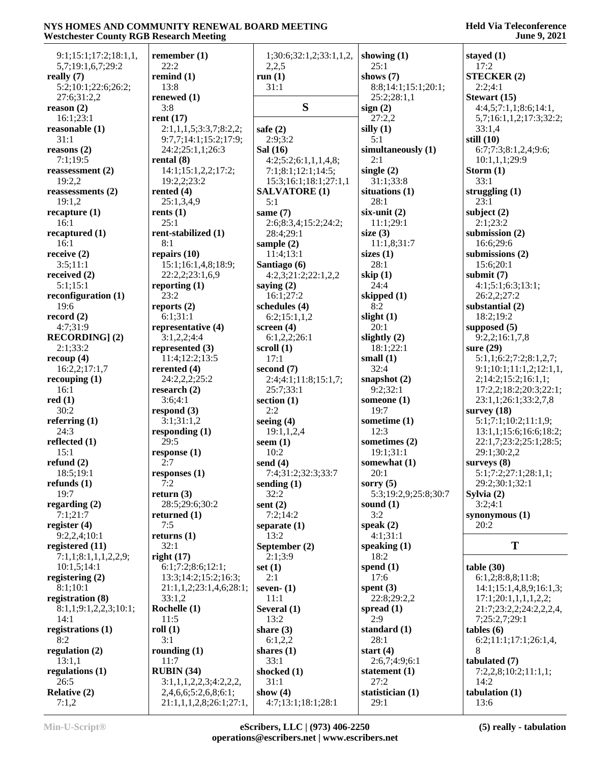| 9:1;15:1;17:2;18:1,1,             | remember $(1)$<br>22:2  | 1;30:6;32:1,2;33:1,1,2, | showing $(1)$<br>25:1 | stayed (1)<br>17:2      |
|-----------------------------------|-------------------------|-------------------------|-----------------------|-------------------------|
| 5,7;19:1,6,7;29:2<br>really $(7)$ | remind $(1)$            | 2,2,5<br>run $(1)$      | shows $(7)$           | <b>STECKER (2)</b>      |
| 5:2;10:1;22:6;26:2;               | 13:8                    | 31:1                    | 8:8;14:1;15:1;20:1;   | 2:2;4:1                 |
| 27:6;31:2,2                       | renewed (1)             |                         | 25:2;28:1,1           | Stewart (15)            |
| reason $(2)$                      | 3:8                     | S                       | sign(2)               | 4:4,5;7:1,1;8:6;14:1,   |
| 16:1;23:1                         | rent $(17)$             |                         | 27:2,2                | 5,7;16:1,1,2;17:3;32:2; |
| reasonable $(1)$                  | 2:1,1,1,5;3:3,7;8:2,2;  | safe $(2)$              | silly $(1)$           | 33:1,4                  |
| 31:1                              | 9:7,7;14:1;15:2;17:9;   | 2:9:3:2                 | 5:1                   | still $(10)$            |
| reasons(2)                        | 24:2;25:1,1;26:3        | Sal (16)                | simultaneously (1)    | 6:7;7:3;8:1,2,4;9:6;    |
| 7:1;19:5                          | rental $(8)$            | 4:2;5:2;6:1,1,1,4,8;    | 2:1                   | 10:1,1,1;29:9           |
| reassessment (2)                  | 14:1;15:1,2,2;17:2;     | 7:1;8:1;12:1;14:5;      | single $(2)$          | Storm $(1)$             |
| 19:2,2                            | 19:2,2;23:2             | 15:3;16:1;18:1;27:1,1   | 31:1;33:8             | 33:1                    |
| reassessments (2)                 | rented $(4)$            | <b>SALVATORE (1)</b>    | situations (1)        | struggling (1)          |
| 19:1,2                            | 25:1,3,4,9              | 5:1                     | 28:1                  | 23:1                    |
| recapture(1)                      | rents $(1)$             | same $(7)$              | $six$ -unit $(2)$     | subject $(2)$           |
| 16:1                              | 25:1                    | 2:6;8:3,4;15:2;24:2;    | 11:1;29:1             | 2:1;23:2                |
| recaptured (1)                    | rent-stabilized (1)     | 28:4;29:1               | size $(3)$            | submission $(2)$        |
| 16:1                              | 8:1                     | sample $(2)$            | 11:1,8;31:7           | 16:6;29:6               |
| receive $(2)$                     | repairs $(10)$          | 11:4;13:1               | sizes $(1)$           | submissions (2)         |
| 3:5;11:1                          | 15:1;16:1,4,8;18:9;     | Santiago (6)            | 28:1                  | 15:6;20:1               |
| received $(2)$                    | 22:2,2;23:1,6,9         | 4:2,3;21:2;22:1,2,2     | skip $(1)$            | submit $(7)$            |
| 5:1;15:1                          | reporting $(1)$         | saying $(2)$            | 24:4                  | 4:1;5:1;6:3;13:1;       |
| reconfiguration $(1)$             | 23:2                    | 16:1;27:2               | skipped $(1)$         | 26:2,2;27:2             |
| 19:6                              | reports $(2)$           | schedules (4)           | 8:2                   | substantial (2)         |
| record $(2)$                      | 6:1;31:1                | 6:2;15:1,1,2            | slight $(1)$          | 18:2;19:2               |
| 4:7;31:9                          | representative (4)      | screen $(4)$            | 20:1                  | supposed $(5)$          |
| <b>RECORDING</b> ] (2)            | 3:1,2,2;4:4             | 6:1,2,2;26:1            | slightly $(2)$        | 9:2,2;16:1,7,8          |
| 2:1;33:2                          | represented $(3)$       | scroll $(1)$            | 18:1;22:1             | sure (29)               |
| recoup $(4)$                      | 11:4;12:2;13:5          | 17:1                    | small $(1)$           | 5:1,1;6:2;7:2;8:1,2,7;  |
| 16:2,2;17:1,7                     | rerented $(4)$          | second $(7)$            | 32:4                  | 9:1;10:1;11:1,2;12:1,1, |
| recouping $(1)$                   | 24:2,2,2;25:2           | 2:4;4:1;11:8;15:1,7;    | snapshot $(2)$        | 2;14:2;15:2;16:1,1;     |
| 16:1                              | research $(2)$          | 25:7;33:1               | 9:2;32:1              | 17:2,2;18:2;20:3;22:1;  |
| red(1)                            | 3:6;4:1                 | section $(1)$           | someone $(1)$         | 23:1,1;26:1;33:2,7,8    |
| 30:2                              | respond $(3)$           | 2:2                     | 19:7                  | survey $(18)$           |
| referring $(1)$                   | 3:1;31:1,2              | seeing $(4)$            | sometime $(1)$        | 5:1;7:1;10:2;11:1,9;    |
| 24:3                              | responding (1)          | 19:1,1,2,4              | 12:3                  | 13:1,1;15:6;16:6;18:2;  |
| reflected $(1)$                   | 29:5                    | seem $(1)$              | sometimes (2)         | 22:1,7;23:2;25:1;28:5;  |
| 15:1                              | response(1)             | 10:2                    | 19:1;31:1             | 29:1;30:2,2             |
| refund $(2)$                      | 2:7                     | send $(4)$              | somewhat (1)          | surveys $(8)$           |
| 18:5;19:1                         | responses (1)           | 7:4;31:2;32:3;33:7      | 20:1                  | 5:1;7:2;27:1;28:1,1;    |
| refunds $(1)$                     | 7:2                     | sending $(1)$           | sorry $(5)$           | 29:2;30:1;32:1          |
| 19:7                              | return $(3)$            | 32:2                    | 5:3;19:2,9;25:8;30:7  | Sylvia $(2)$            |
| regarding $(2)$                   | 28:5;29:6;30:2          | sent $(2)$              | sound $(1)$           | 3:2;4:1                 |
| 7:1;21:7                          | returned $(1)$          | 7:2;14:2                | 3:2                   | synonymous (1)          |
| register $(4)$                    | 7:5                     | separate $(1)$          | speak $(2)$           | 20:2                    |
| 9:2,2,4;10:1                      | returns $(1)$           | 13:2                    | 4:1:31:1              |                         |
| registered (11)                   | 32:1                    | September (2)           | speaking $(1)$        | T                       |
| 7:1,1;8:1,1,1,2,2,9;              | right(17)               | 2:1;3:9                 | 18:2                  |                         |
| 10:1,5;14:1                       | 6:1;7:2;8:6;12:1;       | set $(1)$               | spend $(1)$           | table(30)               |
| registering $(2)$                 | 13:3;14:2;15:2;16:3;    | 2:1                     | 17:6                  | 6:1,2;8:8,8;11:8;       |
| 8:1:10:1                          | 21:1,1,2;23:1,4,6;28:1; | seven- $(1)$            | spent $(3)$           | 14:1;15:1,4,8,9;16:1,3; |
| registration (8)                  | 33:1,2                  | 11:1                    | 22:8;29:2,2           | 17:1;20:1,1,1,1,2,2;    |
| 8:1,1;9:1,2,2,3;10:1;             | Rochelle (1)            | Several (1)             | spread $(1)$          | 21:7;23:2,2;24:2,2,2,4, |
| 14:1                              | 11:5                    | 13:2                    | 2:9                   | 7;25:2,7;29:1           |
| registrations (1)                 | roll(1)                 | share $(3)$             | standard (1)          | $tables (6)$            |
| 8:2                               | 3:1                     | 6:1,2,2                 | 28:1                  | 6:2;11:1;17:1;26:1,4    |
| regulation $(2)$                  | rounding $(1)$          | shares $(1)$            | start $(4)$           | 8                       |
| 13:1,1                            | 11:7                    | 33:1                    | 2:6,7;4:9;6:1         | tabulated (7)           |
| regulations $(1)$                 | RUBIN (34)              | shocked (1)             | statement $(1)$       | 7:2,2,8;10:2;11:1,1;    |
| 26:5                              | 3:1,1,1,2,2,3;4:2,2,2,  | 31:1                    | 27:2                  | 14:2                    |
| <b>Relative (2)</b>               | 2,4,6,6;5:2,6,8;6:1;    | show $(4)$              | statistician (1)      | tabulation $(1)$        |
| 7:1,2                             | 21:1,1,1,2,8;26:1;27:1, | 4:7;13:1;18:1;28:1      | 29:1                  | 13:6                    |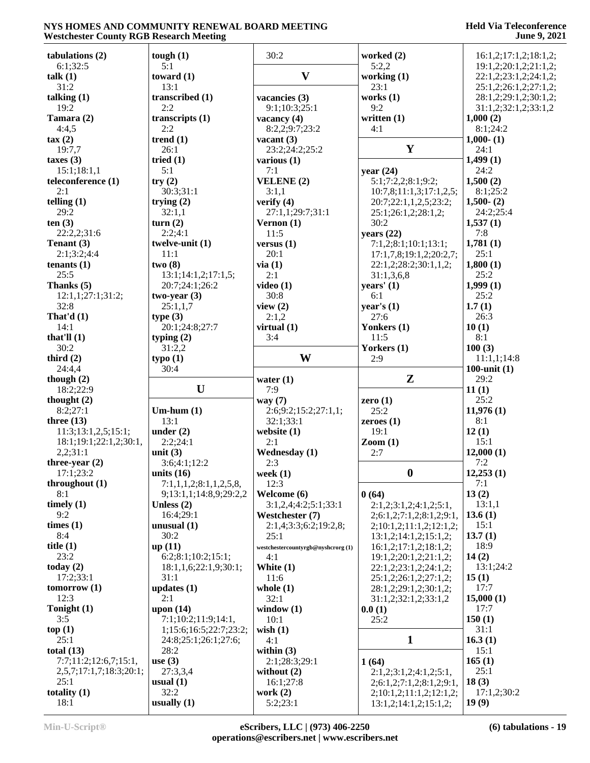| tabulations (2)          | tough $(1)$                   | 30:2                                     | worked (2)                                          | 16:1,2;17:1,2;18:1,2;                          |
|--------------------------|-------------------------------|------------------------------------------|-----------------------------------------------------|------------------------------------------------|
| 6:1;32:5<br>talk $(1)$   | 5:1<br>toward $(1)$           | $\mathbf{V}$                             | 5:2,2<br>working (1)                                | 19:1,2;20:1,2;21:1,2;<br>22:1,2;23:1,2;24:1,2; |
| 31:2                     | 13:1                          |                                          | 23:1                                                | 25:1,2;26:1,2;27:1,2;                          |
| talking $(1)$            | transcribed (1)               | vacancies (3)                            | works $(1)$                                         | 28:1,2;29:1,2;30:1,2;                          |
| 19:2                     | 2:2                           | 9:1;10:3;25:1                            | 9:2                                                 | 31:1,2;32:1,2;33:1,2                           |
| Tamara (2)               | transcripts $(1)$             | vacancy $(4)$                            | written $(1)$                                       | 1,000(2)                                       |
| 4:4,5                    | 2:2                           | 8:2,2;9:7;23:2                           | 4:1                                                 | 8:1;24:2                                       |
| $\tan(2)$                | trend $(1)$                   | vacant $(3)$                             |                                                     | $1,000 - (1)$                                  |
| 19:7,7                   | 26:1                          | 23:2;24:2;25:2                           | $\mathbf Y$                                         | 24:1                                           |
| taxes $(3)$              | tried $(1)$                   | various $(1)$                            |                                                     | 1,499(1)                                       |
| 15:1;18:1,1              | 5:1                           | 7:1                                      | year $(24)$                                         | 24:2                                           |
| teleconference (1)       | try(2)                        | VELENE (2)                               | 5:1;7:2,2;8:1;9:2;                                  | 1,500(2)                                       |
| 2:1<br>telling $(1)$     | 30:3;31:1<br>trying $(2)$     | 3:1,1<br>verify $(4)$                    | 10:7,8;11:1,3;17:1,2,5;                             | 8:1;25:2<br>$1,500 - (2)$                      |
| 29:2                     | 32:1,1                        | 27:1,1;29:7;31:1                         | 20:7;22:1,1,2,5;23:2;<br>25:1;26:1,2;28:1,2;        | 24:2;25:4                                      |
| ten(3)                   | turn $(2)$                    | Vernon $(1)$                             | 30:2                                                | 1,537(1)                                       |
| 22:2,2;31:6              | 2:2;4:1                       | 11:5                                     | years $(22)$                                        | 7:8                                            |
| Tenant (3)               | twelve-unit (1)               | versus $(1)$                             | 7:1,2;8:1;10:1;13:1;                                | 1,781(1)                                       |
| 2:1;3:2;4:4              | 11:1                          | 20:1                                     | 17:1,7,8;19:1,2;20:2,7;                             | 25:1                                           |
| tenants $(1)$            | two(8)                        | via(1)                                   | 22:1,2;28:2;30:1,1,2;                               | 1,800(1)                                       |
| 25:5                     | 13:1;14:1,2;17:1,5;           | 2:1                                      | 31:1,3,6,8                                          | 25:2                                           |
| Thanks (5)               | 20:7;24:1;26:2                | video $(1)$                              | years' (1)                                          | 1,999(1)                                       |
| 12:1,1;27:1;31:2;        | $two-year(3)$                 | 30:8                                     | 6:1                                                 | 25:2                                           |
| 32:8                     | 25:1,1,7                      | view $(2)$                               | year's $(1)$                                        | 1.7(1)                                         |
| That'd $(1)$             | type(3)                       | 2:1,2                                    | 27:6                                                | 26:3                                           |
| 14:1                     | 20:1;24:8;27:7                | virtual $(1)$                            | Yonkers (1)                                         | 10(1)                                          |
| that'll $(1)$            | typing $(2)$                  | 3:4                                      | 11:5                                                | 8:1                                            |
| 30:2                     | 31:2,2                        | W                                        | Yorkers (1)                                         | 100(3)                                         |
| third $(2)$<br>24:4,4    | type(1)<br>30:4               |                                          | 2:9                                                 | 11:1,1;14:8<br>100-unit $(1)$                  |
|                          |                               |                                          |                                                     |                                                |
|                          |                               |                                          |                                                     |                                                |
| though $(2)$             |                               | water $(1)$                              | $\mathbf{Z}$                                        | 29:2                                           |
| 18:2;22:9                | U                             | 7:9                                      |                                                     | 11(1)                                          |
| thought $(2)$            |                               | way $(7)$                                | zero $(1)$                                          | 25:2                                           |
| 8:2;27:1<br>three $(13)$ | $Um-hum(1)$<br>13:1           | 2:6;9:2;15:2;27:1,1;                     | 25:2                                                | 11,976(1)<br>8:1                               |
| 11:3;13:1,2,5;15:1;      | under $(2)$                   | 32:1;33:1<br>website $(1)$               | zeroes $(1)$<br>19:1                                | 12(1)                                          |
| 18:1;19:1;22:1,2;30:1,   | 2:2;24:1                      | 2:1                                      | $\mathrm{Zoom}\left(1\right)$                       | 15:1                                           |
| 2,2;31:1                 | unit $(3)$                    | <b>Wednesday</b> (1)                     | 2:7                                                 | 12,000(1)                                      |
| three-year $(2)$         | 3:6;4:1;12:2                  | 2:3                                      |                                                     | 7:2                                            |
| 17:1;23:2                | units $(16)$                  | week $(1)$                               | $\boldsymbol{0}$                                    | 12,253(1)                                      |
| throughout $(1)$         | 7:1,1,1,2;8:1,1,2,5,8,        | 12:3                                     |                                                     | 7:1                                            |
| 8:1                      | 9;13:1,1;14:8,9;29:2,2        | Welcome (6)                              | 0(64)                                               | 13(2)                                          |
| timely $(1)$             | Unless $(2)$                  | 3:1,2,4;4:2;5:1;33:1                     | 2:1,2;3:1,2;4:1,2;5:1,                              | 13:1,1                                         |
| 9:2                      | 16:4;29:1                     | Westchester (7)                          | 2;6:1,2;7:1,2;8:1,2;9:1,                            | 13.6(1)                                        |
| times (1)                | unusual $(1)$                 | 2:1,4;3:3;6:2;19:2,8;                    | 2;10:1,2;11:1,2;12:1,2;                             | 15:1                                           |
| 8:4                      | 30:2                          | 25:1                                     | 13:1,2;14:1,2;15:1,2;                               | 13.7(1)                                        |
| title $(1)$<br>23:2      | up(11)                        | westchestercountyrgb@nyshcrorg(1)<br>4:1 | 16:1,2;17:1,2;18:1,2;                               | 18:9                                           |
| today $(2)$              | 6:2;8:1;10:2;15:1;            |                                          | 19:1,2;20:1,2;21:1,2;                               | 14(2)<br>13:1;24:2                             |
| 17:2;33:1                | 18:1,1,6;22:1,9;30:1;<br>31:1 | White (1)<br>11:6                        | 22:1,2;23:1,2;24:1,2;<br>25:1,2;26:1,2;27:1,2;      | 15(1)                                          |
| tomorrow $(1)$           | updates $(1)$                 | whole $(1)$                              | 28:1,2;29:1,2;30:1,2;                               | 17:7                                           |
| 12:3                     | 2:1                           | 32:1                                     | 31:1,2;32:1,2;33:1,2                                | 15,000(1)                                      |
| Tonight (1)              | upon $(14)$                   | window $(1)$                             | 0.0(1)                                              | 17:7                                           |
| 3:5                      | 7:1;10:2;11:9;14:1,           | 10:1                                     | 25:2                                                | 150(1)                                         |
| top(1)                   | 1;15:6;16:5;22:7;23:2;        | wish $(1)$                               |                                                     | 31:1                                           |
| 25:1                     | 24:8;25:1;26:1;27:6;          | 4:1                                      | $\mathbf{1}$                                        | 16.3(1)                                        |
| total $(13)$             | 28:2                          | within $(3)$                             |                                                     | 15:1                                           |
| 7:7;11:2;12:6,7;15:1,    | use $(3)$                     | 2:1;28:3;29:1                            | 1(64)                                               | 165(1)                                         |
| 2,5,7;17:1,7;18:3;20:1;  | 27:3,3,4                      | without $(2)$                            | 2:1,2;3:1,2;4:1,2;5:1,                              | 25:1                                           |
| 25:1<br>totality $(1)$   | usual $(1)$<br>32:2           | 16:1;27:8<br>work $(2)$                  | 2;6:1,2;7:1,2;8:1,2;9:1,<br>2;10:1,2;11:1,2;12:1,2; | 18(3)<br>17:1,2;30:2                           |